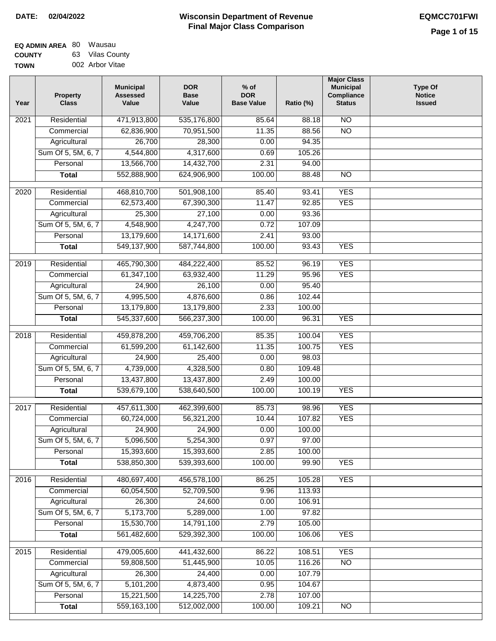| <b>EQ ADMIN AREA 80 Wausau</b> |                 |
|--------------------------------|-----------------|
| <b>COUNTY</b>                  | 63 Vilas County |
| <b>TOWN</b>                    | 002 Arbor Vitae |

| Year | <b>Property</b><br><b>Class</b>    | <b>Municipal</b><br><b>Assessed</b><br>Value | <b>DOR</b><br><b>Base</b><br>Value | $%$ of<br><b>DOR</b><br><b>Base Value</b> | Ratio (%)        | <b>Major Class</b><br><b>Municipal</b><br>Compliance<br><b>Status</b> | <b>Type Of</b><br><b>Notice</b><br><b>Issued</b> |
|------|------------------------------------|----------------------------------------------|------------------------------------|-------------------------------------------|------------------|-----------------------------------------------------------------------|--------------------------------------------------|
| 2021 | Residential                        | 471,913,800                                  | 535,176,800                        | 85.64                                     | 88.18            | $\overline{NO}$                                                       |                                                  |
|      | Commercial                         | 62,836,900                                   | 70,951,500                         | 11.35                                     | 88.56            | $\overline{NO}$                                                       |                                                  |
|      | Agricultural                       | 26,700                                       | 28,300                             | 0.00                                      | 94.35            |                                                                       |                                                  |
|      | Sum Of 5, 5M, 6, 7                 | 4,544,800                                    | 4,317,600                          | 0.69                                      | 105.26           |                                                                       |                                                  |
|      | Personal                           | 13,566,700                                   | 14,432,700                         | 2.31                                      | 94.00            |                                                                       |                                                  |
|      | <b>Total</b>                       | 552,888,900                                  | 624,906,900                        | 100.00                                    | 88.48            | $\overline{NO}$                                                       |                                                  |
| 2020 | Residential                        | 468,810,700                                  | 501,908,100                        | 85.40                                     | 93.41            | <b>YES</b>                                                            |                                                  |
|      | Commercial                         | 62,573,400                                   | 67,390,300                         | 11.47                                     | 92.85            | <b>YES</b>                                                            |                                                  |
|      | Agricultural                       | 25,300                                       | 27,100                             | 0.00                                      | 93.36            |                                                                       |                                                  |
|      | Sum Of 5, 5M, 6, 7                 | 4,548,900                                    | 4,247,700                          | 0.72                                      | 107.09           |                                                                       |                                                  |
|      | Personal                           | 13,179,600                                   | 14,171,600                         | 2.41                                      | 93.00            |                                                                       |                                                  |
|      | <b>Total</b>                       | 549,137,900                                  | 587,744,800                        | 100.00                                    | 93.43            | <b>YES</b>                                                            |                                                  |
| 2019 | Residential                        | 465,790,300                                  | 484,222,400                        | 85.52                                     | 96.19            | <b>YES</b>                                                            |                                                  |
|      | Commercial                         | 61,347,100                                   | 63,932,400                         | 11.29                                     | 95.96            | <b>YES</b>                                                            |                                                  |
|      | Agricultural                       | 24,900                                       | 26,100                             | 0.00                                      | 95.40            |                                                                       |                                                  |
|      | Sum Of 5, 5M, 6, 7                 | 4,995,500                                    | 4,876,600                          | 0.86                                      | 102.44           |                                                                       |                                                  |
|      | Personal                           | 13,179,800                                   | 13,179,800                         | 2.33                                      | 100.00           |                                                                       |                                                  |
|      | <b>Total</b>                       | 545,337,600                                  | 566,237,300                        | 100.00                                    | 96.31            | <b>YES</b>                                                            |                                                  |
| 2018 | Residential                        | 459,878,200                                  | 459,706,200                        | 85.35                                     | 100.04           | <b>YES</b>                                                            |                                                  |
|      | Commercial                         | 61,599,200                                   | 61,142,600                         | 11.35                                     | 100.75           | <b>YES</b>                                                            |                                                  |
|      | Agricultural                       | 24,900                                       | 25,400                             | 0.00                                      | 98.03            |                                                                       |                                                  |
|      | Sum Of 5, 5M, 6, 7                 | 4,739,000                                    | 4,328,500                          | 0.80                                      | 109.48           |                                                                       |                                                  |
|      | Personal                           | 13,437,800                                   | 13,437,800                         | 2.49                                      | 100.00           |                                                                       |                                                  |
|      | <b>Total</b>                       | 539,679,100                                  | 538,640,500                        | 100.00                                    | 100.19           | <b>YES</b>                                                            |                                                  |
| 2017 | Residential                        | 457,611,300                                  | 462,399,600                        | 85.73                                     | 98.96            | <b>YES</b>                                                            |                                                  |
|      | Commercial                         | 60,724,000                                   | 56,321,200                         | 10.44                                     | 107.82           | <b>YES</b>                                                            |                                                  |
|      | Agricultural                       | 24,900                                       | 24,900                             | 0.00                                      | 100.00           |                                                                       |                                                  |
|      | Sum Of 5, 5M, 6, 7                 | 5,096,500                                    | 5,254,300                          | 0.97                                      | 97.00            |                                                                       |                                                  |
|      | Personal                           | 15,393,600                                   | 15,393,600                         | 2.85                                      | 100.00           |                                                                       |                                                  |
|      | <b>Total</b>                       | 538,850,300                                  | 539,393,600                        | 100.00                                    | 99.90            | <b>YES</b>                                                            |                                                  |
|      |                                    |                                              |                                    |                                           |                  |                                                                       |                                                  |
| 2016 | Residential                        | 480,697,400                                  | 456,578,100                        | 86.25                                     | 105.28           | <b>YES</b>                                                            |                                                  |
|      | Commercial                         | 60,054,500<br>26,300                         | 52,709,500<br>24,600               | 9.96<br>0.00                              | 113.93<br>106.91 |                                                                       |                                                  |
|      | Agricultural<br>Sum Of 5, 5M, 6, 7 | 5,173,700                                    | 5,289,000                          | 1.00                                      | 97.82            |                                                                       |                                                  |
|      | Personal                           | 15,530,700                                   | 14,791,100                         | 2.79                                      | 105.00           |                                                                       |                                                  |
|      | <b>Total</b>                       | 561,482,600                                  | 529,392,300                        | 100.00                                    | 106.06           | <b>YES</b>                                                            |                                                  |
|      |                                    |                                              |                                    |                                           |                  |                                                                       |                                                  |
| 2015 | Residential                        | 479,005,600                                  | 441,432,600                        | 86.22                                     | 108.51           | <b>YES</b>                                                            |                                                  |
|      | Commercial                         | 59,808,500                                   | 51,445,900                         | 10.05                                     | 116.26           | $\overline{NO}$                                                       |                                                  |
|      | Agricultural                       | 26,300                                       | 24,400                             | 0.00                                      | 107.79           |                                                                       |                                                  |
|      | Sum Of 5, 5M, 6, 7                 | 5,101,200                                    | 4,873,400                          | 0.95                                      | 104.67           |                                                                       |                                                  |
|      | Personal                           | 15,221,500                                   | 14,225,700                         | 2.78                                      | 107.00           |                                                                       |                                                  |
|      | <b>Total</b>                       | 559,163,100                                  | 512,002,000                        | 100.00                                    | 109.21           | NO                                                                    |                                                  |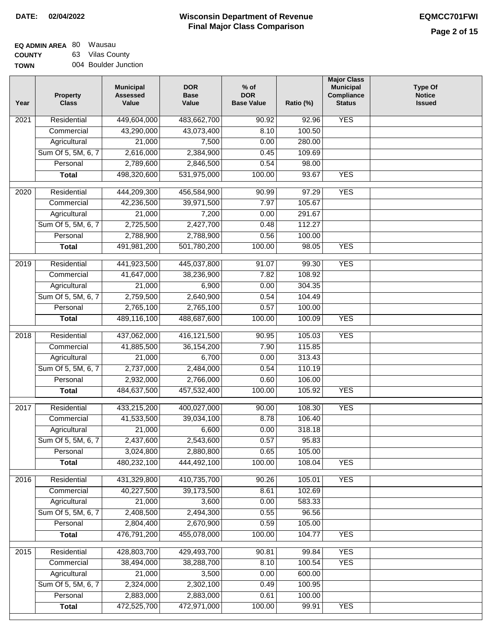| EQ ADMIN AREA 80 Wausau |                 |
|-------------------------|-----------------|
| <b>COUNTY</b>           | 63 Vilas County |

**TOWN** 004 Boulder Junction

| Year              | <b>Property</b><br><b>Class</b>    | <b>Municipal</b><br><b>Assessed</b><br>Value | <b>DOR</b><br><b>Base</b><br>Value | $%$ of<br><b>DOR</b><br><b>Base Value</b> | Ratio (%)        | <b>Major Class</b><br><b>Municipal</b><br>Compliance<br><b>Status</b> | <b>Type Of</b><br><b>Notice</b><br><b>Issued</b> |
|-------------------|------------------------------------|----------------------------------------------|------------------------------------|-------------------------------------------|------------------|-----------------------------------------------------------------------|--------------------------------------------------|
| $\overline{202}1$ | Residential                        | 449,604,000                                  | 483,662,700                        | 90.92                                     | 92.96            | <b>YES</b>                                                            |                                                  |
|                   | Commercial                         | 43,290,000                                   | 43,073,400                         | 8.10                                      | 100.50           |                                                                       |                                                  |
|                   | Agricultural                       | 21,000                                       | 7,500                              | 0.00                                      | 280.00           |                                                                       |                                                  |
|                   | Sum Of 5, 5M, 6, 7                 | 2,616,000                                    | 2,384,900                          | 0.45                                      | 109.69           |                                                                       |                                                  |
|                   | Personal                           | 2,789,600                                    | 2,846,500                          | 0.54                                      | 98.00            |                                                                       |                                                  |
|                   | <b>Total</b>                       | 498,320,600                                  | 531,975,000                        | 100.00                                    | 93.67            | <b>YES</b>                                                            |                                                  |
| 2020              | Residential                        | 444,209,300                                  | 456,584,900                        | 90.99                                     | 97.29            | <b>YES</b>                                                            |                                                  |
|                   | Commercial                         | 42,236,500                                   | 39,971,500                         | 7.97                                      | 105.67           |                                                                       |                                                  |
|                   | Agricultural                       | 21,000                                       | 7,200                              | 0.00                                      | 291.67           |                                                                       |                                                  |
|                   | Sum Of 5, 5M, 6, 7                 | 2,725,500                                    | 2,427,700                          | 0.48                                      | 112.27           |                                                                       |                                                  |
|                   | Personal                           | 2,788,900                                    | 2,788,900                          | 0.56                                      | 100.00           |                                                                       |                                                  |
|                   | <b>Total</b>                       | 491,981,200                                  | 501,780,200                        | 100.00                                    | 98.05            | <b>YES</b>                                                            |                                                  |
|                   |                                    |                                              |                                    |                                           |                  |                                                                       |                                                  |
| 2019              | Residential                        | 441,923,500                                  | 445,037,800                        | 91.07                                     | 99.30            | <b>YES</b>                                                            |                                                  |
|                   | Commercial                         | 41,647,000                                   | 38,236,900                         | 7.82                                      | 108.92           |                                                                       |                                                  |
|                   | Agricultural                       | 21,000                                       | 6,900                              | 0.00                                      | 304.35           |                                                                       |                                                  |
|                   | Sum Of 5, 5M, 6, 7                 | 2,759,500                                    | 2,640,900                          | 0.54                                      | 104.49           |                                                                       |                                                  |
|                   | Personal                           | 2,765,100                                    | 2,765,100                          | 0.57                                      | 100.00           |                                                                       |                                                  |
|                   | <b>Total</b>                       | 489,116,100                                  | 488,687,600                        | 100.00                                    | 100.09           | <b>YES</b>                                                            |                                                  |
| 2018              | Residential                        | 437,062,000                                  | 416,121,500                        | 90.95                                     | 105.03           | <b>YES</b>                                                            |                                                  |
|                   | Commercial                         | 41,885,500                                   | 36, 154, 200                       | 7.90                                      | 115.85           |                                                                       |                                                  |
|                   | Agricultural                       | 21,000                                       | 6,700                              | 0.00                                      | 313.43           |                                                                       |                                                  |
|                   | Sum Of 5, 5M, 6, 7                 | 2,737,000                                    | 2,484,000                          | 0.54                                      | 110.19           |                                                                       |                                                  |
|                   | Personal                           | 2,932,000                                    | 2,766,000                          | 0.60                                      | 106.00           |                                                                       |                                                  |
|                   | <b>Total</b>                       | 484,637,500                                  | 457,532,400                        | 100.00                                    | 105.92           | <b>YES</b>                                                            |                                                  |
| 2017              | Residential                        | 433,215,200                                  | 400,027,000                        | 90.00                                     | 108.30           | <b>YES</b>                                                            |                                                  |
|                   | Commercial                         | 41,533,500                                   | 39,034,100                         | 8.78                                      | 106.40           |                                                                       |                                                  |
|                   | Agricultural                       | $\overline{21,000}$                          | 6,600                              | 0.00                                      | 318.18           |                                                                       |                                                  |
|                   | Sum Of 5, 5M, 6, 7                 | 2,437,600                                    | 2,543,600                          | 0.57                                      | 95.83            |                                                                       |                                                  |
|                   | Personal                           | 3,024,800                                    | 2,880,800                          | 0.65                                      | 105.00           |                                                                       |                                                  |
|                   | <b>Total</b>                       | 480,232,100                                  | 444,492,100                        | 100.00                                    | 108.04           | <b>YES</b>                                                            |                                                  |
| 2016              | Residential                        | 431,329,800                                  | 410,735,700                        | 90.26                                     | 105.01           | <b>YES</b>                                                            |                                                  |
|                   | Commercial                         | 40,227,500                                   | 39,173,500                         | 8.61                                      | 102.69           |                                                                       |                                                  |
|                   | Agricultural                       | 21,000                                       | 3,600                              | 0.00                                      | 583.33           |                                                                       |                                                  |
|                   | Sum Of 5, 5M, 6, 7                 | 2,408,500                                    | 2,494,300                          | 0.55                                      | 96.56            |                                                                       |                                                  |
|                   | Personal                           | 2,804,400                                    | 2,670,900                          | 0.59                                      | 105.00           |                                                                       |                                                  |
|                   | <b>Total</b>                       | 476,791,200                                  | 455,078,000                        | 100.00                                    | 104.77           | <b>YES</b>                                                            |                                                  |
|                   |                                    |                                              |                                    |                                           |                  |                                                                       |                                                  |
| 2015              | Residential                        | 428,803,700                                  | 429,493,700                        | 90.81                                     | 99.84            | <b>YES</b>                                                            |                                                  |
|                   | Commercial                         | 38,494,000<br>21,000                         | 38,288,700<br>3,500                | 8.10<br>0.00                              | 100.54<br>600.00 | <b>YES</b>                                                            |                                                  |
|                   | Agricultural<br>Sum Of 5, 5M, 6, 7 |                                              |                                    |                                           | 100.95           |                                                                       |                                                  |
|                   | Personal                           | 2,324,000<br>2,883,000                       | 2,302,100<br>2,883,000             | 0.49<br>0.61                              | 100.00           |                                                                       |                                                  |
|                   | <b>Total</b>                       | 472,525,700                                  | 472,971,000                        | 100.00                                    | 99.91            | <b>YES</b>                                                            |                                                  |
|                   |                                    |                                              |                                    |                                           |                  |                                                                       |                                                  |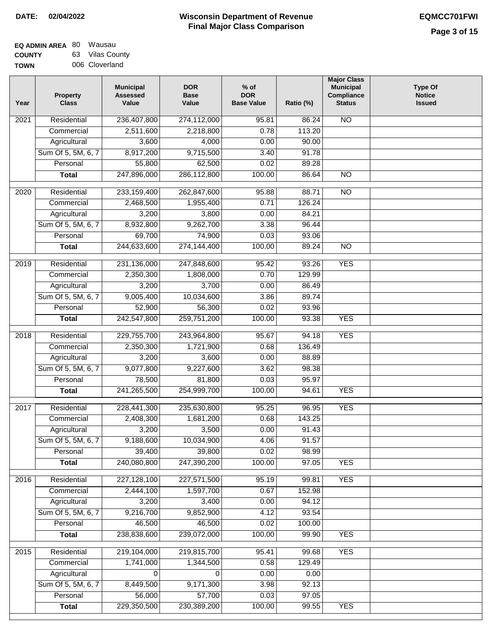| EQ ADMIN AREA 80 Wausau |                 |
|-------------------------|-----------------|
| <b>COUNTY</b>           | 63 Vilas County |
|                         |                 |

**TOWN** 006 Cloverland

| Year              | <b>Property</b><br><b>Class</b> | <b>Municipal</b><br><b>Assessed</b><br>Value | <b>DOR</b><br><b>Base</b><br>Value | $%$ of<br><b>DOR</b><br><b>Base Value</b> | Ratio (%) | <b>Major Class</b><br><b>Municipal</b><br>Compliance<br><b>Status</b> | <b>Type Of</b><br><b>Notice</b><br><b>Issued</b> |
|-------------------|---------------------------------|----------------------------------------------|------------------------------------|-------------------------------------------|-----------|-----------------------------------------------------------------------|--------------------------------------------------|
| $\overline{202}1$ | Residential                     | 236,407,800                                  | 274,112,000                        | 95.81                                     | 86.24     | N <sub>O</sub>                                                        |                                                  |
|                   | Commercial                      | 2,511,600                                    | 2,218,800                          | 0.78                                      | 113.20    |                                                                       |                                                  |
|                   | Agricultural                    | 3,600                                        | 4,000                              | 0.00                                      | 90.00     |                                                                       |                                                  |
|                   | Sum Of 5, 5M, 6, 7              | 8,917,200                                    | 9,715,500                          | 3.40                                      | 91.78     |                                                                       |                                                  |
|                   | Personal                        | 55,800                                       | 62,500                             | 0.02                                      | 89.28     |                                                                       |                                                  |
|                   | <b>Total</b>                    | 247,896,000                                  | 286,112,800                        | 100.00                                    | 86.64     | <b>NO</b>                                                             |                                                  |
| $\overline{2020}$ | Residential                     | 233,159,400                                  | 262,847,600                        | 95.88                                     | 88.71     | $\overline{NO}$                                                       |                                                  |
|                   | Commercial                      | 2,468,500                                    | 1,955,400                          | 0.71                                      | 126.24    |                                                                       |                                                  |
|                   | Agricultural                    | 3,200                                        | 3,800                              | 0.00                                      | 84.21     |                                                                       |                                                  |
|                   | Sum Of 5, 5M, 6, 7              | 8,932,800                                    | 9,262,700                          | 3.38                                      | 96.44     |                                                                       |                                                  |
|                   | Personal                        | 69,700                                       | 74,900                             | 0.03                                      | 93.06     |                                                                       |                                                  |
|                   | <b>Total</b>                    | 244,633,600                                  | 274,144,400                        | 100.00                                    | 89.24     | $\overline{NO}$                                                       |                                                  |
| 2019              | Residential                     | 231,136,000                                  | 247,848,600                        | 95.42                                     | 93.26     | <b>YES</b>                                                            |                                                  |
|                   | Commercial                      | 2,350,300                                    | 1,808,000                          | 0.70                                      | 129.99    |                                                                       |                                                  |
|                   | Agricultural                    | 3,200                                        | 3,700                              | 0.00                                      | 86.49     |                                                                       |                                                  |
|                   | Sum Of 5, 5M, 6, 7              | 9,005,400                                    | 10,034,600                         | 3.86                                      | 89.74     |                                                                       |                                                  |
|                   | Personal                        | 52,900                                       | 56,300                             | 0.02                                      | 93.96     |                                                                       |                                                  |
|                   | <b>Total</b>                    | 242,547,800                                  | 259,751,200                        | 100.00                                    | 93.38     | <b>YES</b>                                                            |                                                  |
|                   |                                 |                                              |                                    |                                           |           |                                                                       |                                                  |
| 2018              | Residential                     | 229,755,700                                  | 243,964,800                        | 95.67                                     | 94.18     | <b>YES</b>                                                            |                                                  |
|                   | Commercial                      | 2,350,300                                    | 1,721,900                          | 0.68                                      | 136.49    |                                                                       |                                                  |
|                   | Agricultural                    | 3,200                                        | 3,600                              | 0.00                                      | 88.89     |                                                                       |                                                  |
|                   | Sum Of 5, 5M, 6, 7              | 9,077,800                                    | 9,227,600                          | 3.62                                      | 98.38     |                                                                       |                                                  |
|                   | Personal                        | 78,500                                       | 81,800                             | 0.03                                      | 95.97     |                                                                       |                                                  |
|                   | <b>Total</b>                    | 241,265,500                                  | 254,999,700                        | 100.00                                    | 94.61     | <b>YES</b>                                                            |                                                  |
| 2017              | Residential                     | 228,441,300                                  | 235,630,800                        | 95.25                                     | 96.95     | <b>YES</b>                                                            |                                                  |
|                   | Commercial                      | 2,408,300                                    | 1,681,200                          | 0.68                                      | 143.25    |                                                                       |                                                  |
|                   | Agricultural                    | 3,200                                        | 3,500                              | 0.00                                      | 91.43     |                                                                       |                                                  |
|                   | Sum Of 5, 5M, 6, 7              | 9,188,600                                    | 10,034,900                         | 4.06                                      | 91.57     |                                                                       |                                                  |
|                   | Personal                        | 39,400                                       | 39,800                             | 0.02                                      | 98.99     |                                                                       |                                                  |
|                   | <b>Total</b>                    | 240,080,800                                  | 247,390,200                        | 100.00                                    | 97.05     | <b>YES</b>                                                            |                                                  |
| 2016              | Residential                     | 227,128,100                                  | 227,571,500                        | 95.19                                     | 99.81     | <b>YES</b>                                                            |                                                  |
|                   | Commercial                      | 2,444,100                                    | 1,597,700                          | 0.67                                      | 152.98    |                                                                       |                                                  |
|                   | Agricultural                    | 3,200                                        | 3,400                              | 0.00                                      | 94.12     |                                                                       |                                                  |
|                   | Sum Of 5, 5M, 6, 7              | 9,216,700                                    | 9,852,900                          | 4.12                                      | 93.54     |                                                                       |                                                  |
|                   | Personal                        | 46,500                                       | 46,500                             | 0.02                                      | 100.00    |                                                                       |                                                  |
|                   | <b>Total</b>                    | 238,838,600                                  | 239,072,000                        | 100.00                                    | 99.90     | <b>YES</b>                                                            |                                                  |
| 2015              | Residential                     | 219,104,000                                  | 219,815,700                        | 95.41                                     | 99.68     | <b>YES</b>                                                            |                                                  |
|                   | Commercial                      | 1,741,000                                    | 1,344,500                          | 0.58                                      | 129.49    |                                                                       |                                                  |
|                   | Agricultural                    | 0                                            | 0                                  | 0.00                                      | 0.00      |                                                                       |                                                  |
|                   | Sum Of 5, 5M, 6, 7              | 8,449,500                                    | 9,171,300                          | 3.98                                      | 92.13     |                                                                       |                                                  |
|                   | Personal                        | 56,000                                       | 57,700                             | 0.03                                      | 97.05     |                                                                       |                                                  |
|                   | <b>Total</b>                    | 229,350,500                                  | 230,389,200                        | 100.00                                    | 99.55     | <b>YES</b>                                                            |                                                  |
|                   |                                 |                                              |                                    |                                           |           |                                                                       |                                                  |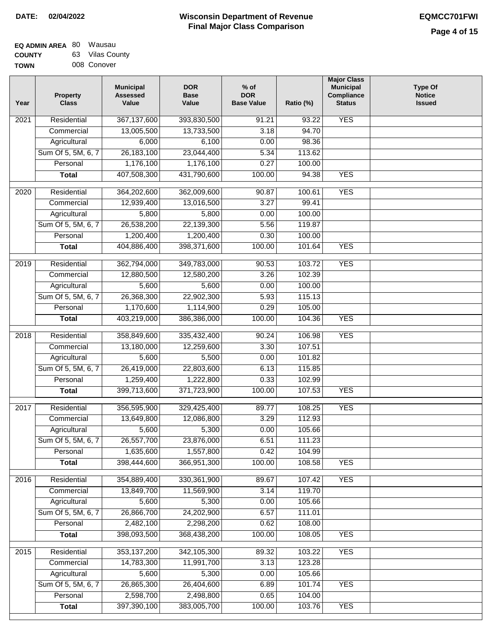| <b>EQ ADMIN AREA 80 Wausau</b> |                 |
|--------------------------------|-----------------|
| <b>COUNTY</b>                  | 63 Vilas County |
| <b>TOWN</b>                    | 008 Conover     |

| Year              | <b>Property</b><br><b>Class</b> | <b>Municipal</b><br><b>Assessed</b><br>Value | <b>DOR</b><br><b>Base</b><br>Value | % of<br><b>DOR</b><br><b>Base Value</b> | Ratio (%) | <b>Major Class</b><br><b>Municipal</b><br>Compliance<br><b>Status</b> | <b>Type Of</b><br><b>Notice</b><br><b>Issued</b> |
|-------------------|---------------------------------|----------------------------------------------|------------------------------------|-----------------------------------------|-----------|-----------------------------------------------------------------------|--------------------------------------------------|
| $\overline{202}1$ | Residential                     | 367,137,600                                  | 393,830,500                        | 91.21                                   | 93.22     | <b>YES</b>                                                            |                                                  |
|                   | Commercial                      | 13,005,500                                   | 13,733,500                         | 3.18                                    | 94.70     |                                                                       |                                                  |
|                   | Agricultural                    | 6,000                                        | 6,100                              | 0.00                                    | 98.36     |                                                                       |                                                  |
|                   | Sum Of 5, 5M, 6, 7              | 26, 183, 100                                 | 23,044,400                         | 5.34                                    | 113.62    |                                                                       |                                                  |
|                   | Personal                        | 1,176,100                                    | 1,176,100                          | 0.27                                    | 100.00    |                                                                       |                                                  |
|                   | <b>Total</b>                    | 407,508,300                                  | 431,790,600                        | 100.00                                  | 94.38     | <b>YES</b>                                                            |                                                  |
| $\overline{2020}$ | Residential                     | 364,202,600                                  | 362,009,600                        | 90.87                                   | 100.61    | <b>YES</b>                                                            |                                                  |
|                   | Commercial                      | 12,939,400                                   | 13,016,500                         | 3.27                                    | 99.41     |                                                                       |                                                  |
|                   | Agricultural                    | 5,800                                        | 5,800                              | 0.00                                    | 100.00    |                                                                       |                                                  |
|                   | Sum Of 5, 5M, 6, 7              | 26,538,200                                   | 22,139,300                         | 5.56                                    | 119.87    |                                                                       |                                                  |
|                   | Personal                        | 1,200,400                                    | 1,200,400                          | 0.30                                    | 100.00    |                                                                       |                                                  |
|                   | <b>Total</b>                    | 404,886,400                                  | 398,371,600                        | 100.00                                  | 101.64    | <b>YES</b>                                                            |                                                  |
| $\frac{2019}{ }$  | Residential                     | 362,794,000                                  | 349,783,000                        | 90.53                                   | 103.72    | <b>YES</b>                                                            |                                                  |
|                   | Commercial                      | 12,880,500                                   | 12,580,200                         | 3.26                                    | 102.39    |                                                                       |                                                  |
|                   | Agricultural                    | 5,600                                        | 5,600                              | 0.00                                    | 100.00    |                                                                       |                                                  |
|                   | Sum Of 5, 5M, 6, 7              | 26,368,300                                   | 22,902,300                         | 5.93                                    | 115.13    |                                                                       |                                                  |
|                   | Personal                        | 1,170,600                                    | 1,114,900                          | 0.29                                    | 105.00    |                                                                       |                                                  |
|                   | <b>Total</b>                    | 403,219,000                                  | 386,386,000                        | 100.00                                  | 104.36    | <b>YES</b>                                                            |                                                  |
| 2018              | Residential                     | 358,849,600                                  | 335,432,400                        | 90.24                                   | 106.98    | <b>YES</b>                                                            |                                                  |
|                   | Commercial                      | 13,180,000                                   | 12,259,600                         | 3.30                                    | 107.51    |                                                                       |                                                  |
|                   | Agricultural                    | 5,600                                        | 5,500                              | 0.00                                    | 101.82    |                                                                       |                                                  |
|                   | Sum Of 5, 5M, 6, 7              | 26,419,000                                   | 22,803,600                         | 6.13                                    | 115.85    |                                                                       |                                                  |
|                   | Personal                        | 1,259,400                                    | 1,222,800                          | 0.33                                    | 102.99    |                                                                       |                                                  |
|                   | <b>Total</b>                    | 399,713,600                                  | 371,723,900                        | 100.00                                  | 107.53    | <b>YES</b>                                                            |                                                  |
| 2017              | Residential                     | 356,595,900                                  | 329,425,400                        | 89.77                                   | 108.25    | <b>YES</b>                                                            |                                                  |
|                   | Commercial                      | 13,649,800                                   | 12,086,800                         | 3.29                                    | 112.93    |                                                                       |                                                  |
|                   | Agricultural                    | 5,600                                        | 5,300                              | 0.00                                    | 105.66    |                                                                       |                                                  |
|                   | Sum Of 5, 5M, 6, 7              | 26,557,700                                   | 23,876,000                         | 6.51                                    | 111.23    |                                                                       |                                                  |
|                   | Personal                        | 1,635,600                                    | 1,557,800                          | 0.42                                    | 104.99    |                                                                       |                                                  |
|                   | <b>Total</b>                    | 398,444,600                                  | 366,951,300                        | 100.00                                  | 108.58    | <b>YES</b>                                                            |                                                  |
| 2016              | Residential                     | 354,889,400                                  | 330, 361, 900                      | 89.67                                   | 107.42    | <b>YES</b>                                                            |                                                  |
|                   | Commercial                      | 13,849,700                                   | 11,569,900                         | 3.14                                    | 119.70    |                                                                       |                                                  |
|                   | Agricultural                    | 5,600                                        | 5,300                              | 0.00                                    | 105.66    |                                                                       |                                                  |
|                   | Sum Of 5, 5M, 6, 7              | 26,866,700                                   | 24,202,900                         | 6.57                                    | 111.01    |                                                                       |                                                  |
|                   | Personal                        | 2,482,100                                    | 2,298,200                          | 0.62                                    | 108.00    |                                                                       |                                                  |
|                   | <b>Total</b>                    | 398,093,500                                  | 368,438,200                        | 100.00                                  | 108.05    | <b>YES</b>                                                            |                                                  |
| 2015              | Residential                     | 353, 137, 200                                | 342,105,300                        | 89.32                                   | 103.22    | <b>YES</b>                                                            |                                                  |
|                   | Commercial                      | 14,783,300                                   | 11,991,700                         | 3.13                                    | 123.28    |                                                                       |                                                  |
|                   | Agricultural                    | 5,600                                        | 5,300                              | 0.00                                    | 105.66    |                                                                       |                                                  |
|                   | Sum Of 5, 5M, 6, 7              | 26,865,300                                   | 26,404,600                         | 6.89                                    | 101.74    | <b>YES</b>                                                            |                                                  |
|                   | Personal                        | 2,598,700                                    | 2,498,800                          | 0.65                                    | 104.00    |                                                                       |                                                  |
|                   | <b>Total</b>                    | 397,390,100                                  | 383,005,700                        | 100.00                                  | 103.76    | <b>YES</b>                                                            |                                                  |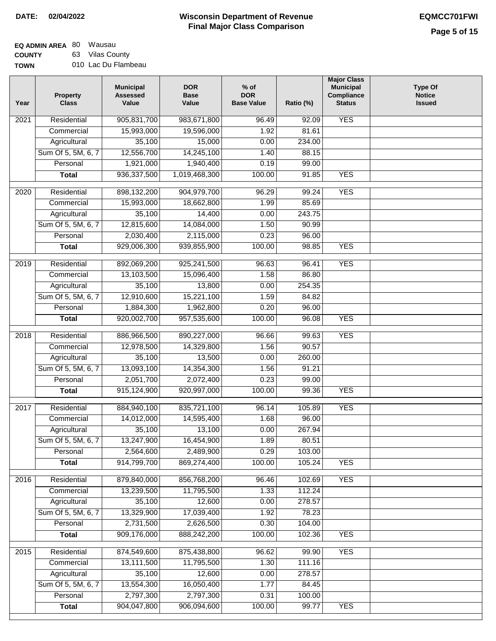#### **EQ ADMIN AREA** 80 Wausau **COUNTY** 63 Vilas County

**TOWN** 010 Lac Du Flambeau

| Year | <b>Property</b><br><b>Class</b> | <b>Municipal</b><br><b>Assessed</b><br>Value | <b>DOR</b><br><b>Base</b><br>Value | % of<br><b>DOR</b><br><b>Base Value</b> | Ratio (%) | <b>Major Class</b><br><b>Municipal</b><br>Compliance<br><b>Status</b> | <b>Type Of</b><br><b>Notice</b><br><b>Issued</b> |
|------|---------------------------------|----------------------------------------------|------------------------------------|-----------------------------------------|-----------|-----------------------------------------------------------------------|--------------------------------------------------|
| 2021 | Residential                     | 905,831,700                                  | 983,671,800                        | 96.49                                   | 92.09     | <b>YES</b>                                                            |                                                  |
|      | Commercial                      | 15,993,000                                   | 19,596,000                         | 1.92                                    | 81.61     |                                                                       |                                                  |
|      | Agricultural                    | 35,100                                       | 15,000                             | 0.00                                    | 234.00    |                                                                       |                                                  |
|      | Sum Of 5, 5M, 6, 7              | 12,556,700                                   | 14,245,100                         | 1.40                                    | 88.15     |                                                                       |                                                  |
|      | Personal                        | 1,921,000                                    | 1,940,400                          | 0.19                                    | 99.00     |                                                                       |                                                  |
|      | <b>Total</b>                    | 936, 337, 500                                | 1,019,468,300                      | 100.00                                  | 91.85     | <b>YES</b>                                                            |                                                  |
| 2020 | Residential                     | 898,132,200                                  | 904,979,700                        | 96.29                                   | 99.24     | <b>YES</b>                                                            |                                                  |
|      | Commercial                      | 15,993,000                                   | 18,662,800                         | 1.99                                    | 85.69     |                                                                       |                                                  |
|      | Agricultural                    | 35,100                                       | 14,400                             | 0.00                                    | 243.75    |                                                                       |                                                  |
|      | Sum Of 5, 5M, 6, 7              | 12,815,600                                   | 14,084,000                         | 1.50                                    | 90.99     |                                                                       |                                                  |
|      | Personal                        | 2,030,400                                    | 2,115,000                          | 0.23                                    | 96.00     |                                                                       |                                                  |
|      | <b>Total</b>                    | 929,006,300                                  | 939,855,900                        | 100.00                                  | 98.85     | <b>YES</b>                                                            |                                                  |
| 2019 | Residential                     | 892,069,200                                  | 925,241,500                        | 96.63                                   | 96.41     | <b>YES</b>                                                            |                                                  |
|      | Commercial                      | 13,103,500                                   | 15,096,400                         | 1.58                                    | 86.80     |                                                                       |                                                  |
|      | Agricultural                    | 35,100                                       | 13,800                             | 0.00                                    | 254.35    |                                                                       |                                                  |
|      | Sum Of 5, 5M, 6, 7              | 12,910,600                                   | 15,221,100                         | 1.59                                    | 84.82     |                                                                       |                                                  |
|      | Personal                        | 1,884,300                                    | 1,962,800                          | 0.20                                    | 96.00     |                                                                       |                                                  |
|      | <b>Total</b>                    | 920,002,700                                  | 957,535,600                        | 100.00                                  | 96.08     | <b>YES</b>                                                            |                                                  |
|      |                                 |                                              |                                    |                                         |           |                                                                       |                                                  |
| 2018 | Residential                     | 886,966,500                                  | 890,227,000                        | 96.66                                   | 99.63     | <b>YES</b>                                                            |                                                  |
|      | Commercial                      | 12,978,500                                   | 14,329,800                         | 1.56                                    | 90.57     |                                                                       |                                                  |
|      | Agricultural                    | 35,100                                       | 13,500                             | 0.00                                    | 260.00    |                                                                       |                                                  |
|      | Sum Of 5, 5M, 6, 7              | 13,093,100                                   | 14,354,300                         | 1.56                                    | 91.21     |                                                                       |                                                  |
|      | Personal                        | 2,051,700                                    | 2,072,400                          | 0.23                                    | 99.00     |                                                                       |                                                  |
|      | <b>Total</b>                    | 915,124,900                                  | 920,997,000                        | 100.00                                  | 99.36     | <b>YES</b>                                                            |                                                  |
| 2017 | Residential                     | 884,940,100                                  | 835,721,100                        | 96.14                                   | 105.89    | <b>YES</b>                                                            |                                                  |
|      | Commercial                      | 14,012,000                                   | 14,595,400                         | 1.68                                    | 96.00     |                                                                       |                                                  |
|      | Agricultural                    | 35,100                                       | 13,100                             | 0.00                                    | 267.94    |                                                                       |                                                  |
|      | Sum Of 5, 5M, 6, 7              | 13,247,900                                   | 16,454,900                         | 1.89                                    | 80.51     |                                                                       |                                                  |
|      | Personal                        | 2,564,600                                    | 2,489,900                          | 0.29                                    | 103.00    |                                                                       |                                                  |
|      | <b>Total</b>                    | 914,799,700                                  | 869,274,400                        | 100.00                                  | 105.24    | <b>YES</b>                                                            |                                                  |
| 2016 | Residential                     | 879,840,000                                  | 856,768,200                        | 96.46                                   | 102.69    | <b>YES</b>                                                            |                                                  |
|      | Commercial                      | 13,239,500                                   | 11,795,500                         | 1.33                                    | 112.24    |                                                                       |                                                  |
|      | Agricultural                    | 35,100                                       | 12,600                             | 0.00                                    | 278.57    |                                                                       |                                                  |
|      | Sum Of 5, 5M, 6, 7              | 13,329,900                                   | 17,039,400                         | 1.92                                    | 78.23     |                                                                       |                                                  |
|      | Personal                        | 2,731,500                                    | 2,626,500                          | 0.30                                    | 104.00    |                                                                       |                                                  |
|      | <b>Total</b>                    | 909,176,000                                  | 888,242,200                        | 100.00                                  | 102.36    | <b>YES</b>                                                            |                                                  |
| 2015 | Residential                     | 874,549,600                                  | 875,438,800                        | 96.62                                   | 99.90     | <b>YES</b>                                                            |                                                  |
|      | Commercial                      | 13,111,500                                   | 11,795,500                         | 1.30                                    | 111.16    |                                                                       |                                                  |
|      | Agricultural                    | 35,100                                       | 12,600                             | 0.00                                    | 278.57    |                                                                       |                                                  |
|      | Sum Of 5, 5M, 6, 7              | 13,554,300                                   | 16,050,400                         | 1.77                                    | 84.45     |                                                                       |                                                  |
|      | Personal                        | 2,797,300                                    | 2,797,300                          | 0.31                                    | 100.00    |                                                                       |                                                  |
|      | <b>Total</b>                    | 904,047,800                                  | 906,094,600                        | 100.00                                  | 99.77     | <b>YES</b>                                                            |                                                  |
|      |                                 |                                              |                                    |                                         |           |                                                                       |                                                  |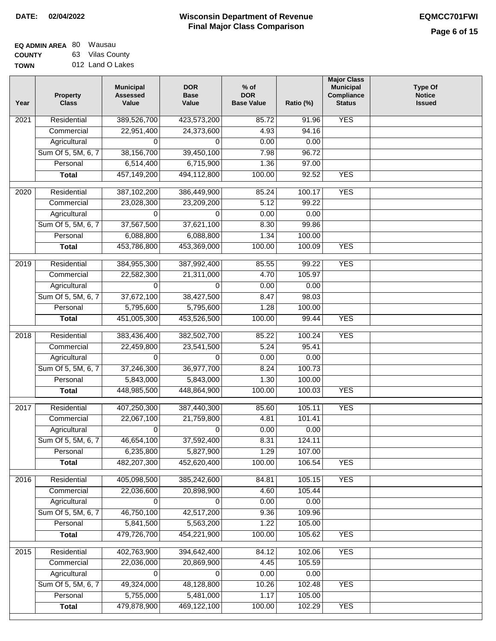| <b>EQ ADMIN AREA 80 Wausau</b> |                  |
|--------------------------------|------------------|
| <b>COUNTY</b>                  | 63 Vilas County  |
| <b>TOWN</b>                    | 012 Land O Lakes |

| Year              | Property<br><b>Class</b> | <b>Municipal</b><br><b>Assessed</b><br>Value | <b>DOR</b><br><b>Base</b><br>Value | $%$ of<br><b>DOR</b><br><b>Base Value</b> | Ratio (%) | <b>Major Class</b><br><b>Municipal</b><br>Compliance<br><b>Status</b> | <b>Type Of</b><br><b>Notice</b><br><b>Issued</b> |
|-------------------|--------------------------|----------------------------------------------|------------------------------------|-------------------------------------------|-----------|-----------------------------------------------------------------------|--------------------------------------------------|
| $\overline{202}1$ | Residential              | 389,526,700                                  | 423,573,200                        | 85.72                                     | 91.96     | <b>YES</b>                                                            |                                                  |
|                   | Commercial               | 22,951,400                                   | 24,373,600                         | 4.93                                      | 94.16     |                                                                       |                                                  |
|                   | Agricultural             | 0                                            | $\Omega$                           | 0.00                                      | 0.00      |                                                                       |                                                  |
|                   | Sum Of 5, 5M, 6, 7       | 38,156,700                                   | 39,450,100                         | 7.98                                      | 96.72     |                                                                       |                                                  |
|                   | Personal                 | 6,514,400                                    | 6,715,900                          | 1.36                                      | 97.00     |                                                                       |                                                  |
|                   | <b>Total</b>             | 457,149,200                                  | 494,112,800                        | 100.00                                    | 92.52     | <b>YES</b>                                                            |                                                  |
| $\overline{2020}$ | Residential              | 387,102,200                                  | 386,449,900                        | 85.24                                     | 100.17    | <b>YES</b>                                                            |                                                  |
|                   | Commercial               | 23,028,300                                   | 23,209,200                         | 5.12                                      | 99.22     |                                                                       |                                                  |
|                   | Agricultural             | 0                                            | $\Omega$                           | 0.00                                      | 0.00      |                                                                       |                                                  |
|                   | Sum Of 5, 5M, 6, 7       | 37,567,500                                   | 37,621,100                         | 8.30                                      | 99.86     |                                                                       |                                                  |
|                   | Personal                 | 6,088,800                                    | 6,088,800                          | 1.34                                      | 100.00    |                                                                       |                                                  |
|                   | <b>Total</b>             | 453,786,800                                  | 453,369,000                        | 100.00                                    | 100.09    | <b>YES</b>                                                            |                                                  |
| 2019              | Residential              | 384,955,300                                  | 387,992,400                        | 85.55                                     | 99.22     | <b>YES</b>                                                            |                                                  |
|                   | Commercial               | 22,582,300                                   | 21,311,000                         | 4.70                                      | 105.97    |                                                                       |                                                  |
|                   | Agricultural             | 0                                            | $\Omega$                           | 0.00                                      | 0.00      |                                                                       |                                                  |
|                   | Sum Of 5, 5M, 6, 7       | 37,672,100                                   | 38,427,500                         | 8.47                                      | 98.03     |                                                                       |                                                  |
|                   | Personal                 | 5,795,600                                    | 5,795,600                          | 1.28                                      | 100.00    |                                                                       |                                                  |
|                   | <b>Total</b>             | 451,005,300                                  | 453,526,500                        | 100.00                                    | 99.44     | <b>YES</b>                                                            |                                                  |
| 2018              | Residential              | 383,436,400                                  | 382,502,700                        | 85.22                                     | 100.24    | <b>YES</b>                                                            |                                                  |
|                   | Commercial               | 22,459,800                                   | 23,541,500                         | 5.24                                      | 95.41     |                                                                       |                                                  |
|                   | Agricultural             | 0                                            | $\Omega$                           | 0.00                                      | 0.00      |                                                                       |                                                  |
|                   | Sum Of 5, 5M, 6, 7       | 37,246,300                                   | 36,977,700                         | 8.24                                      | 100.73    |                                                                       |                                                  |
|                   | Personal                 | 5,843,000                                    | 5,843,000                          | 1.30                                      | 100.00    |                                                                       |                                                  |
|                   | <b>Total</b>             | 448,985,500                                  | 448,864,900                        | 100.00                                    | 100.03    | <b>YES</b>                                                            |                                                  |
| 2017              | Residential              | 407,250,300                                  | 387,440,300                        | 85.60                                     | 105.11    | <b>YES</b>                                                            |                                                  |
|                   | Commercial               | 22,067,100                                   | 21,759,800                         | 4.81                                      | 101.41    |                                                                       |                                                  |
|                   | Agricultural             | 0                                            | 0                                  | 0.00                                      | 0.00      |                                                                       |                                                  |
|                   | Sum Of 5, 5M, 6, 7       | 46,654,100                                   | 37,592,400                         | 8.31                                      | 124.11    |                                                                       |                                                  |
|                   | Personal                 | 6,235,800                                    | 5,827,900                          | 1.29                                      | 107.00    |                                                                       |                                                  |
|                   | <b>Total</b>             | 482,207,300                                  | 452,620,400                        | 100.00                                    | 106.54    | <b>YES</b>                                                            |                                                  |
| 2016              | Residential              | 405,098,500                                  | 385,242,600                        | 84.81                                     | 105.15    | <b>YES</b>                                                            |                                                  |
|                   | Commercial               | 22,036,600                                   | 20,898,900                         | 4.60                                      | 105.44    |                                                                       |                                                  |
|                   | Agricultural             | 0                                            | 0                                  | 0.00                                      | 0.00      |                                                                       |                                                  |
|                   | Sum Of 5, 5M, 6, 7       | 46,750,100                                   | 42,517,200                         | 9.36                                      | 109.96    |                                                                       |                                                  |
|                   | Personal                 | 5,841,500                                    | 5,563,200                          | 1.22                                      | 105.00    |                                                                       |                                                  |
|                   | <b>Total</b>             | 479,726,700                                  | 454,221,900                        | 100.00                                    | 105.62    | <b>YES</b>                                                            |                                                  |
| 2015              | Residential              | 402,763,900                                  | 394,642,400                        | 84.12                                     | 102.06    | <b>YES</b>                                                            |                                                  |
|                   | Commercial               | 22,036,000                                   | 20,869,900                         | 4.45                                      | 105.59    |                                                                       |                                                  |
|                   | Agricultural             | 0                                            | 0                                  | 0.00                                      | 0.00      |                                                                       |                                                  |
|                   | Sum Of 5, 5M, 6, 7       | 49,324,000                                   | 48,128,800                         | 10.26                                     | 102.48    | <b>YES</b>                                                            |                                                  |
|                   | Personal                 | 5,755,000                                    | 5,481,000                          | 1.17                                      | 105.00    |                                                                       |                                                  |
|                   | <b>Total</b>             | 479,878,900                                  | 469,122,100                        | 100.00                                    | 102.29    | <b>YES</b>                                                            |                                                  |
|                   |                          |                                              |                                    |                                           |           |                                                                       |                                                  |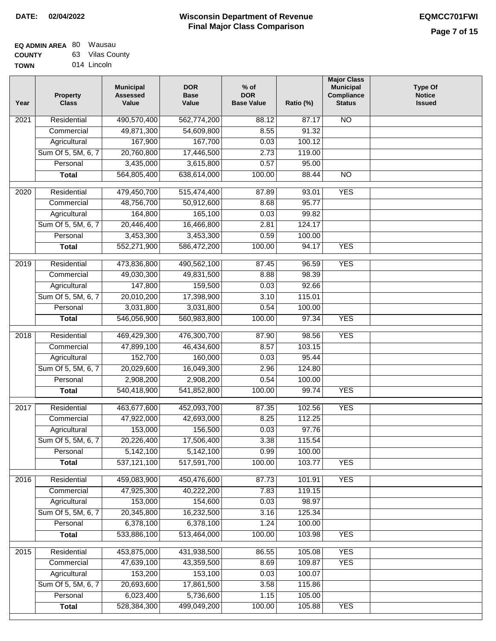| <b>EQ ADMIN AREA 80 Wausau</b> |                 |
|--------------------------------|-----------------|
| <b>COUNTY</b>                  | 63 Vilas County |

**TOWN** 014 Lincoln

| Year              | <b>Property</b><br><b>Class</b> | <b>Municipal</b><br><b>Assessed</b><br>Value | <b>DOR</b><br><b>Base</b><br>Value | $%$ of<br><b>DOR</b><br><b>Base Value</b> | Ratio (%) | <b>Major Class</b><br><b>Municipal</b><br>Compliance<br><b>Status</b> | <b>Type Of</b><br><b>Notice</b><br><b>Issued</b> |
|-------------------|---------------------------------|----------------------------------------------|------------------------------------|-------------------------------------------|-----------|-----------------------------------------------------------------------|--------------------------------------------------|
| 2021              | Residential                     | 490,570,400                                  | 562,774,200                        | 88.12                                     | 87.17     | $\overline{NO}$                                                       |                                                  |
|                   | Commercial                      | 49,871,300                                   | 54,609,800                         | 8.55                                      | 91.32     |                                                                       |                                                  |
|                   | Agricultural                    | 167,900                                      | 167,700                            | 0.03                                      | 100.12    |                                                                       |                                                  |
|                   | Sum Of 5, 5M, 6, 7              | 20,760,800                                   | 17,446,500                         | 2.73                                      | 119.00    |                                                                       |                                                  |
|                   | Personal                        | 3,435,000                                    | 3,615,800                          | 0.57                                      | 95.00     |                                                                       |                                                  |
|                   | <b>Total</b>                    | 564,805,400                                  | 638,614,000                        | 100.00                                    | 88.44     | $\overline{NO}$                                                       |                                                  |
| 2020              | Residential                     | 479,450,700                                  | 515,474,400                        | 87.89                                     | 93.01     | <b>YES</b>                                                            |                                                  |
|                   | Commercial                      | 48,756,700                                   | 50,912,600                         | 8.68                                      | 95.77     |                                                                       |                                                  |
|                   | Agricultural                    | 164,800                                      | 165,100                            | 0.03                                      | 99.82     |                                                                       |                                                  |
|                   | Sum Of 5, 5M, 6, 7              | 20,446,400                                   | 16,466,800                         | 2.81                                      | 124.17    |                                                                       |                                                  |
|                   | Personal                        | 3,453,300                                    | 3,453,300                          | 0.59                                      | 100.00    |                                                                       |                                                  |
|                   | <b>Total</b>                    | 552,271,900                                  | 586,472,200                        | 100.00                                    | 94.17     | <b>YES</b>                                                            |                                                  |
|                   |                                 |                                              |                                    |                                           |           |                                                                       |                                                  |
| $\frac{1}{2019}$  | Residential                     | 473,836,800                                  | 490,562,100                        | 87.45                                     | 96.59     | <b>YES</b>                                                            |                                                  |
|                   | Commercial                      | 49,030,300                                   | 49,831,500                         | 8.88                                      | 98.39     |                                                                       |                                                  |
|                   | Agricultural                    | 147,800                                      | 159,500                            | 0.03                                      | 92.66     |                                                                       |                                                  |
|                   | Sum Of 5, 5M, 6, 7              | 20,010,200                                   | 17,398,900                         | 3.10                                      | 115.01    |                                                                       |                                                  |
|                   | Personal                        | 3,031,800                                    | 3,031,800                          | 0.54                                      | 100.00    |                                                                       |                                                  |
|                   | <b>Total</b>                    | 546,056,900                                  | 560,983,800                        | 100.00                                    | 97.34     | <b>YES</b>                                                            |                                                  |
| 2018              | Residential                     | 469,429,300                                  | 476,300,700                        | 87.90                                     | 98.56     | <b>YES</b>                                                            |                                                  |
|                   | Commercial                      | 47,899,100                                   | 46,434,600                         | 8.57                                      | 103.15    |                                                                       |                                                  |
|                   | Agricultural                    | 152,700                                      | 160,000                            | 0.03                                      | 95.44     |                                                                       |                                                  |
|                   | Sum Of 5, 5M, 6, 7              | 20,029,600                                   | 16,049,300                         | 2.96                                      | 124.80    |                                                                       |                                                  |
|                   | Personal                        | 2,908,200                                    | 2,908,200                          | 0.54                                      | 100.00    |                                                                       |                                                  |
|                   | <b>Total</b>                    | 540,418,900                                  | 541,852,800                        | 100.00                                    | 99.74     | <b>YES</b>                                                            |                                                  |
| 2017              | Residential                     | 463,677,600                                  | 452,093,700                        | 87.35                                     | 102.56    | <b>YES</b>                                                            |                                                  |
|                   | Commercial                      | 47,922,000                                   | 42,693,000                         | 8.25                                      | 112.25    |                                                                       |                                                  |
|                   | Agricultural                    | 153,000                                      | 156,500                            | 0.03                                      | 97.76     |                                                                       |                                                  |
|                   | Sum Of 5, 5M, 6, 7              | 20,226,400                                   | 17,506,400                         | 3.38                                      | 115.54    |                                                                       |                                                  |
|                   | Personal                        | 5,142,100                                    | 5,142,100                          | 0.99                                      | 100.00    |                                                                       |                                                  |
|                   | <b>Total</b>                    | 537,121,100                                  | 517,591,700                        | 100.00                                    | 103.77    | <b>YES</b>                                                            |                                                  |
| 2016              | Residential                     | 459,083,900                                  | 450,476,600                        | 87.73                                     | 101.91    | <b>YES</b>                                                            |                                                  |
|                   | Commercial                      | 47,925,300                                   | 40,222,200                         | 7.83                                      | 119.15    |                                                                       |                                                  |
|                   | Agricultural                    | 153,000                                      | 154,600                            | 0.03                                      | 98.97     |                                                                       |                                                  |
|                   | Sum Of 5, 5M, 6, 7              | 20,345,800                                   | 16,232,500                         | 3.16                                      | 125.34    |                                                                       |                                                  |
|                   | Personal                        | 6,378,100                                    | 6,378,100                          | 1.24                                      | 100.00    |                                                                       |                                                  |
|                   | <b>Total</b>                    | 533,886,100                                  | 513,464,000                        | 100.00                                    | 103.98    | <b>YES</b>                                                            |                                                  |
| $\overline{2015}$ | Residential                     | 453,875,000                                  | 431,938,500                        | 86.55                                     | 105.08    | <b>YES</b>                                                            |                                                  |
|                   | Commercial                      | 47,639,100                                   | 43,359,500                         | 8.69                                      | 109.87    | <b>YES</b>                                                            |                                                  |
|                   | Agricultural                    | 153,200                                      | 153,100                            | 0.03                                      | 100.07    |                                                                       |                                                  |
|                   | Sum Of 5, 5M, 6, 7              | 20,693,600                                   | 17,861,500                         | 3.58                                      | 115.86    |                                                                       |                                                  |
|                   | Personal                        | 6,023,400                                    | 5,736,600                          | 1.15                                      | 105.00    |                                                                       |                                                  |
|                   | <b>Total</b>                    | 528,384,300                                  | 499,049,200                        | 100.00                                    | 105.88    | <b>YES</b>                                                            |                                                  |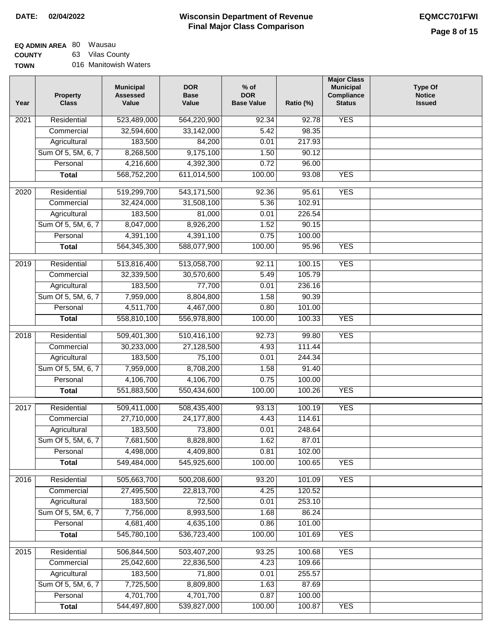## **EQ ADMIN AREA** 80 Wausau **COUNTY**

**TOWN** 63 Vilas County 016 Manitowish Waters

| 523,489,000<br><b>YES</b><br>Residential<br>564,220,900<br>92.34<br>92.78<br>2021<br>32,594,600<br>33,142,000<br>5.42<br>98.35<br>Commercial<br>183,500<br>84,200<br>217.93<br>Agricultural<br>0.01<br>8,268,500<br>Sum Of 5, 5M, 6, 7<br>9,175,100<br>1.50<br>90.12<br>Personal<br>4,216,600<br>4,392,300<br>0.72<br>96.00<br>568,752,200<br>611,014,500<br>100.00<br>93.08<br><b>YES</b><br><b>Total</b><br><b>YES</b><br>Residential<br>519,299,700<br>543,171,500<br>95.61<br>2020<br>92.36<br>Commercial<br>32,424,000<br>31,508,100<br>5.36<br>102.91<br>183,500<br>Agricultural<br>81,000<br>0.01<br>226.54<br>Sum Of 5, 5M, 6, 7<br>8,047,000<br>8,926,200<br>1.52<br>90.15<br>4,391,100<br>4,391,100<br>0.75<br>100.00<br>Personal<br><b>YES</b><br><b>Total</b><br>564,345,300<br>588,077,900<br>100.00<br>95.96<br><b>YES</b><br>2019<br>Residential<br>513,816,400<br>513,058,700<br>100.15<br>92.11<br>105.79<br>Commercial<br>32,339,500<br>30,570,600<br>5.49<br>183,500<br>77,700<br>236.16<br>Agricultural<br>0.01<br>Sum Of 5, 5M, 6, 7<br>7,959,000<br>8,804,800<br>1.58<br>90.39<br>Personal<br>4,511,700<br>4,467,000<br>0.80<br>101.00<br><b>YES</b><br>558,810,100<br>556,978,800<br>100.00<br>100.33<br><b>Total</b><br><b>YES</b><br>Residential<br>509,401,300<br>510,416,100<br>92.73<br>99.80<br>2018<br>Commercial<br>30,233,000<br>27,128,500<br>4.93<br>111.44 | <b>Type Of</b><br><b>Notice</b><br><b>Issued</b> |
|-----------------------------------------------------------------------------------------------------------------------------------------------------------------------------------------------------------------------------------------------------------------------------------------------------------------------------------------------------------------------------------------------------------------------------------------------------------------------------------------------------------------------------------------------------------------------------------------------------------------------------------------------------------------------------------------------------------------------------------------------------------------------------------------------------------------------------------------------------------------------------------------------------------------------------------------------------------------------------------------------------------------------------------------------------------------------------------------------------------------------------------------------------------------------------------------------------------------------------------------------------------------------------------------------------------------------------------------------------------------------------------------------|--------------------------------------------------|
|                                                                                                                                                                                                                                                                                                                                                                                                                                                                                                                                                                                                                                                                                                                                                                                                                                                                                                                                                                                                                                                                                                                                                                                                                                                                                                                                                                                               |                                                  |
|                                                                                                                                                                                                                                                                                                                                                                                                                                                                                                                                                                                                                                                                                                                                                                                                                                                                                                                                                                                                                                                                                                                                                                                                                                                                                                                                                                                               |                                                  |
|                                                                                                                                                                                                                                                                                                                                                                                                                                                                                                                                                                                                                                                                                                                                                                                                                                                                                                                                                                                                                                                                                                                                                                                                                                                                                                                                                                                               |                                                  |
|                                                                                                                                                                                                                                                                                                                                                                                                                                                                                                                                                                                                                                                                                                                                                                                                                                                                                                                                                                                                                                                                                                                                                                                                                                                                                                                                                                                               |                                                  |
|                                                                                                                                                                                                                                                                                                                                                                                                                                                                                                                                                                                                                                                                                                                                                                                                                                                                                                                                                                                                                                                                                                                                                                                                                                                                                                                                                                                               |                                                  |
|                                                                                                                                                                                                                                                                                                                                                                                                                                                                                                                                                                                                                                                                                                                                                                                                                                                                                                                                                                                                                                                                                                                                                                                                                                                                                                                                                                                               |                                                  |
|                                                                                                                                                                                                                                                                                                                                                                                                                                                                                                                                                                                                                                                                                                                                                                                                                                                                                                                                                                                                                                                                                                                                                                                                                                                                                                                                                                                               |                                                  |
|                                                                                                                                                                                                                                                                                                                                                                                                                                                                                                                                                                                                                                                                                                                                                                                                                                                                                                                                                                                                                                                                                                                                                                                                                                                                                                                                                                                               |                                                  |
|                                                                                                                                                                                                                                                                                                                                                                                                                                                                                                                                                                                                                                                                                                                                                                                                                                                                                                                                                                                                                                                                                                                                                                                                                                                                                                                                                                                               |                                                  |
|                                                                                                                                                                                                                                                                                                                                                                                                                                                                                                                                                                                                                                                                                                                                                                                                                                                                                                                                                                                                                                                                                                                                                                                                                                                                                                                                                                                               |                                                  |
|                                                                                                                                                                                                                                                                                                                                                                                                                                                                                                                                                                                                                                                                                                                                                                                                                                                                                                                                                                                                                                                                                                                                                                                                                                                                                                                                                                                               |                                                  |
|                                                                                                                                                                                                                                                                                                                                                                                                                                                                                                                                                                                                                                                                                                                                                                                                                                                                                                                                                                                                                                                                                                                                                                                                                                                                                                                                                                                               |                                                  |
|                                                                                                                                                                                                                                                                                                                                                                                                                                                                                                                                                                                                                                                                                                                                                                                                                                                                                                                                                                                                                                                                                                                                                                                                                                                                                                                                                                                               |                                                  |
|                                                                                                                                                                                                                                                                                                                                                                                                                                                                                                                                                                                                                                                                                                                                                                                                                                                                                                                                                                                                                                                                                                                                                                                                                                                                                                                                                                                               |                                                  |
|                                                                                                                                                                                                                                                                                                                                                                                                                                                                                                                                                                                                                                                                                                                                                                                                                                                                                                                                                                                                                                                                                                                                                                                                                                                                                                                                                                                               |                                                  |
|                                                                                                                                                                                                                                                                                                                                                                                                                                                                                                                                                                                                                                                                                                                                                                                                                                                                                                                                                                                                                                                                                                                                                                                                                                                                                                                                                                                               |                                                  |
|                                                                                                                                                                                                                                                                                                                                                                                                                                                                                                                                                                                                                                                                                                                                                                                                                                                                                                                                                                                                                                                                                                                                                                                                                                                                                                                                                                                               |                                                  |
|                                                                                                                                                                                                                                                                                                                                                                                                                                                                                                                                                                                                                                                                                                                                                                                                                                                                                                                                                                                                                                                                                                                                                                                                                                                                                                                                                                                               |                                                  |
|                                                                                                                                                                                                                                                                                                                                                                                                                                                                                                                                                                                                                                                                                                                                                                                                                                                                                                                                                                                                                                                                                                                                                                                                                                                                                                                                                                                               |                                                  |
|                                                                                                                                                                                                                                                                                                                                                                                                                                                                                                                                                                                                                                                                                                                                                                                                                                                                                                                                                                                                                                                                                                                                                                                                                                                                                                                                                                                               |                                                  |
|                                                                                                                                                                                                                                                                                                                                                                                                                                                                                                                                                                                                                                                                                                                                                                                                                                                                                                                                                                                                                                                                                                                                                                                                                                                                                                                                                                                               |                                                  |
| 183,500<br>75,100<br>244.34<br>Agricultural<br>0.01                                                                                                                                                                                                                                                                                                                                                                                                                                                                                                                                                                                                                                                                                                                                                                                                                                                                                                                                                                                                                                                                                                                                                                                                                                                                                                                                           |                                                  |
| Sum Of 5, 5M, 6, 7<br>7,959,000<br>8,708,200<br>1.58<br>91.40                                                                                                                                                                                                                                                                                                                                                                                                                                                                                                                                                                                                                                                                                                                                                                                                                                                                                                                                                                                                                                                                                                                                                                                                                                                                                                                                 |                                                  |
| 4,106,700<br>4,106,700<br>100.00<br>0.75<br>Personal                                                                                                                                                                                                                                                                                                                                                                                                                                                                                                                                                                                                                                                                                                                                                                                                                                                                                                                                                                                                                                                                                                                                                                                                                                                                                                                                          |                                                  |
| <b>YES</b><br>551,883,500<br>550,434,600<br>100.00<br>100.26<br><b>Total</b>                                                                                                                                                                                                                                                                                                                                                                                                                                                                                                                                                                                                                                                                                                                                                                                                                                                                                                                                                                                                                                                                                                                                                                                                                                                                                                                  |                                                  |
| <b>YES</b><br>2017<br>Residential<br>509,411,000<br>508,435,400<br>100.19<br>93.13                                                                                                                                                                                                                                                                                                                                                                                                                                                                                                                                                                                                                                                                                                                                                                                                                                                                                                                                                                                                                                                                                                                                                                                                                                                                                                            |                                                  |
| 27,710,000<br>24,177,800<br>4.43<br>114.61<br>Commercial                                                                                                                                                                                                                                                                                                                                                                                                                                                                                                                                                                                                                                                                                                                                                                                                                                                                                                                                                                                                                                                                                                                                                                                                                                                                                                                                      |                                                  |
| 183,500<br>73,800<br>0.01<br>248.64<br>Agricultural                                                                                                                                                                                                                                                                                                                                                                                                                                                                                                                                                                                                                                                                                                                                                                                                                                                                                                                                                                                                                                                                                                                                                                                                                                                                                                                                           |                                                  |
| Sum Of 5, 5M, 6, 7<br>7,681,500<br>8,828,800<br>1.62<br>87.01                                                                                                                                                                                                                                                                                                                                                                                                                                                                                                                                                                                                                                                                                                                                                                                                                                                                                                                                                                                                                                                                                                                                                                                                                                                                                                                                 |                                                  |
| 4,498,000<br>Personal<br>4,409,800<br>0.81<br>102.00                                                                                                                                                                                                                                                                                                                                                                                                                                                                                                                                                                                                                                                                                                                                                                                                                                                                                                                                                                                                                                                                                                                                                                                                                                                                                                                                          |                                                  |
| 549,484,000<br>545,925,600<br>100.00<br><b>YES</b><br><b>Total</b><br>100.65                                                                                                                                                                                                                                                                                                                                                                                                                                                                                                                                                                                                                                                                                                                                                                                                                                                                                                                                                                                                                                                                                                                                                                                                                                                                                                                  |                                                  |
| Residential<br>505,663,700<br>500,208,600<br>93.20<br>101.09<br><b>YES</b><br>2016                                                                                                                                                                                                                                                                                                                                                                                                                                                                                                                                                                                                                                                                                                                                                                                                                                                                                                                                                                                                                                                                                                                                                                                                                                                                                                            |                                                  |
| Commercial<br>27,495,500<br>22,813,700<br>4.25<br>120.52                                                                                                                                                                                                                                                                                                                                                                                                                                                                                                                                                                                                                                                                                                                                                                                                                                                                                                                                                                                                                                                                                                                                                                                                                                                                                                                                      |                                                  |
| 183,500<br>72,500<br>253.10<br>Agricultural<br>0.01                                                                                                                                                                                                                                                                                                                                                                                                                                                                                                                                                                                                                                                                                                                                                                                                                                                                                                                                                                                                                                                                                                                                                                                                                                                                                                                                           |                                                  |
| Sum Of 5, 5M, 6, 7<br>7,756,000<br>8,993,500<br>86.24<br>1.68                                                                                                                                                                                                                                                                                                                                                                                                                                                                                                                                                                                                                                                                                                                                                                                                                                                                                                                                                                                                                                                                                                                                                                                                                                                                                                                                 |                                                  |
| 4,681,400<br>Personal<br>4,635,100<br>0.86<br>101.00                                                                                                                                                                                                                                                                                                                                                                                                                                                                                                                                                                                                                                                                                                                                                                                                                                                                                                                                                                                                                                                                                                                                                                                                                                                                                                                                          |                                                  |
| 545,780,100<br>536,723,400<br>100.00<br>101.69<br><b>YES</b><br><b>Total</b>                                                                                                                                                                                                                                                                                                                                                                                                                                                                                                                                                                                                                                                                                                                                                                                                                                                                                                                                                                                                                                                                                                                                                                                                                                                                                                                  |                                                  |
| 506,844,500<br>503,407,200<br><b>YES</b><br>2015<br>Residential<br>93.25<br>100.68                                                                                                                                                                                                                                                                                                                                                                                                                                                                                                                                                                                                                                                                                                                                                                                                                                                                                                                                                                                                                                                                                                                                                                                                                                                                                                            |                                                  |
| Commercial<br>25,042,600<br>22,836,500<br>4.23<br>109.66                                                                                                                                                                                                                                                                                                                                                                                                                                                                                                                                                                                                                                                                                                                                                                                                                                                                                                                                                                                                                                                                                                                                                                                                                                                                                                                                      |                                                  |
| 183,500<br>71,800<br>255.57<br>Agricultural<br>0.01                                                                                                                                                                                                                                                                                                                                                                                                                                                                                                                                                                                                                                                                                                                                                                                                                                                                                                                                                                                                                                                                                                                                                                                                                                                                                                                                           |                                                  |
| Sum Of 5, 5M, 6, 7<br>7,725,500<br>8,809,800<br>87.69<br>1.63                                                                                                                                                                                                                                                                                                                                                                                                                                                                                                                                                                                                                                                                                                                                                                                                                                                                                                                                                                                                                                                                                                                                                                                                                                                                                                                                 |                                                  |
| 4,701,700<br>4,701,700<br>0.87<br>Personal<br>100.00                                                                                                                                                                                                                                                                                                                                                                                                                                                                                                                                                                                                                                                                                                                                                                                                                                                                                                                                                                                                                                                                                                                                                                                                                                                                                                                                          |                                                  |
| 544,497,800<br>539,827,000<br>100.00<br>100.87<br><b>YES</b><br><b>Total</b>                                                                                                                                                                                                                                                                                                                                                                                                                                                                                                                                                                                                                                                                                                                                                                                                                                                                                                                                                                                                                                                                                                                                                                                                                                                                                                                  |                                                  |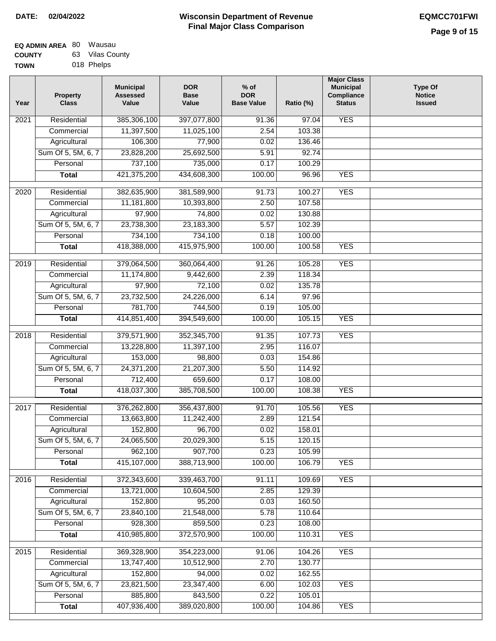| EQ ADMIN AREA 80 | Wausau          |
|------------------|-----------------|
| <b>COUNTY</b>    | 63 Vilas County |
| <b>TOWN</b>      | 018 Phelps      |

| Year              | Property<br><b>Class</b> | <b>Municipal</b><br><b>Assessed</b><br>Value | <b>DOR</b><br><b>Base</b><br>Value | $%$ of<br><b>DOR</b><br><b>Base Value</b> | Ratio (%)         | <b>Major Class</b><br><b>Municipal</b><br>Compliance<br><b>Status</b> | <b>Type Of</b><br><b>Notice</b><br><b>Issued</b> |
|-------------------|--------------------------|----------------------------------------------|------------------------------------|-------------------------------------------|-------------------|-----------------------------------------------------------------------|--------------------------------------------------|
| $\overline{202}1$ | Residential              | 385,306,100                                  | 397,077,800                        | 91.36                                     | $\frac{1}{97.04}$ | <b>YES</b>                                                            |                                                  |
|                   | Commercial               | 11,397,500                                   | 11,025,100                         | 2.54                                      | 103.38            |                                                                       |                                                  |
|                   | Agricultural             | 106,300                                      | 77,900                             | 0.02                                      | 136.46            |                                                                       |                                                  |
|                   | Sum Of 5, 5M, 6, 7       | 23,828,200                                   | 25,692,500                         | 5.91                                      | 92.74             |                                                                       |                                                  |
|                   | Personal                 | 737,100                                      | 735,000                            | 0.17                                      | 100.29            |                                                                       |                                                  |
|                   | <b>Total</b>             | 421,375,200                                  | 434,608,300                        | 100.00                                    | 96.96             | <b>YES</b>                                                            |                                                  |
|                   |                          |                                              |                                    |                                           |                   |                                                                       |                                                  |
| 2020              | Residential              | 382,635,900                                  | 381,589,900                        | 91.73                                     | 100.27            | <b>YES</b>                                                            |                                                  |
|                   | Commercial               | 11,181,800                                   | 10,393,800                         | 2.50                                      | 107.58            |                                                                       |                                                  |
|                   | Agricultural             | 97,900                                       | 74,800                             | 0.02                                      | 130.88            |                                                                       |                                                  |
|                   | Sum Of 5, 5M, 6, 7       | 23,738,300                                   | 23,183,300                         | 5.57                                      | 102.39            |                                                                       |                                                  |
|                   | Personal                 | 734,100                                      | 734,100                            | 0.18                                      | 100.00            |                                                                       |                                                  |
|                   | <b>Total</b>             | 418,388,000                                  | 415,975,900                        | 100.00                                    | 100.58            | <b>YES</b>                                                            |                                                  |
| 2019              | Residential              | 379,064,500                                  | 360,064,400                        | 91.26                                     | 105.28            | <b>YES</b>                                                            |                                                  |
|                   | Commercial               | 11,174,800                                   | 9,442,600                          | 2.39                                      | 118.34            |                                                                       |                                                  |
|                   | Agricultural             | 97,900                                       | 72,100                             | 0.02                                      | 135.78            |                                                                       |                                                  |
|                   | Sum Of 5, 5M, 6, 7       | 23,732,500                                   | 24,226,000                         | 6.14                                      | 97.96             |                                                                       |                                                  |
|                   | Personal                 | 781,700                                      | 744,500                            | 0.19                                      | 105.00            |                                                                       |                                                  |
|                   | <b>Total</b>             | 414,851,400                                  | 394,549,600                        | 100.00                                    | 105.15            | <b>YES</b>                                                            |                                                  |
| 2018              | Residential              | 379,571,900                                  | 352,345,700                        | 91.35                                     | 107.73            | <b>YES</b>                                                            |                                                  |
|                   | Commercial               | 13,228,800                                   | 11,397,100                         | 2.95                                      | 116.07            |                                                                       |                                                  |
|                   | Agricultural             | 153,000                                      | 98,800                             | 0.03                                      | 154.86            |                                                                       |                                                  |
|                   | Sum Of 5, 5M, 6, 7       | 24,371,200                                   | 21,207,300                         | 5.50                                      | 114.92            |                                                                       |                                                  |
|                   | Personal                 | 712,400                                      | 659,600                            | 0.17                                      | 108.00            |                                                                       |                                                  |
|                   | <b>Total</b>             | 418,037,300                                  | 385,708,500                        | 100.00                                    | 108.38            | <b>YES</b>                                                            |                                                  |
| 2017              | Residential              | 376,262,800                                  | 356,437,800                        | 91.70                                     | 105.56            | <b>YES</b>                                                            |                                                  |
|                   | Commercial               | 13,663,800                                   | 11,242,400                         | 2.89                                      | 121.54            |                                                                       |                                                  |
|                   | Agricultural             | 152,800                                      | 96,700                             | 0.02                                      | 158.01            |                                                                       |                                                  |
|                   | Sum Of 5, 5M, 6, 7       | 24,065,500                                   | 20,029,300                         | 5.15                                      | 120.15            |                                                                       |                                                  |
|                   | Personal                 | 962,100                                      | 907,700                            | $\overline{0.23}$                         | 105.99            |                                                                       |                                                  |
|                   | <b>Total</b>             | 415,107,000                                  | 388,713,900                        | 100.00                                    | 106.79            | <b>YES</b>                                                            |                                                  |
| 2016              | Residential              | 372,343,600                                  | 339,463,700                        | 91.11                                     | 109.69            | <b>YES</b>                                                            |                                                  |
|                   | Commercial               | 13,721,000                                   | 10,604,500                         | 2.85                                      | 129.39            |                                                                       |                                                  |
|                   | Agricultural             | 152,800                                      | 95,200                             | 0.03                                      | 160.50            |                                                                       |                                                  |
|                   | Sum Of 5, 5M, 6, 7       | 23,840,100                                   | 21,548,000                         | 5.78                                      | 110.64            |                                                                       |                                                  |
|                   | Personal                 | 928,300                                      | 859,500                            | 0.23                                      | 108.00            |                                                                       |                                                  |
|                   | <b>Total</b>             | 410,985,800                                  | 372,570,900                        | 100.00                                    | 110.31            | <b>YES</b>                                                            |                                                  |
|                   |                          |                                              |                                    |                                           |                   |                                                                       |                                                  |
| 2015              | Residential              | 369,328,900                                  | 354,223,000                        | 91.06                                     | 104.26            | <b>YES</b>                                                            |                                                  |
|                   | Commercial               | 13,747,400                                   | 10,512,900                         | 2.70                                      | 130.77            |                                                                       |                                                  |
|                   | Agricultural             | 152,800                                      | 94,000                             | 0.02                                      | 162.55            |                                                                       |                                                  |
|                   | Sum Of 5, 5M, 6, 7       | 23,821,500                                   | 23,347,400                         | 6.00                                      | 102.03            | <b>YES</b>                                                            |                                                  |
|                   | Personal                 | 885,800                                      | 843,500                            | 0.22                                      | 105.01            |                                                                       |                                                  |
|                   | <b>Total</b>             | 407,936,400                                  | 389,020,800                        | 100.00                                    | 104.86            | <b>YES</b>                                                            |                                                  |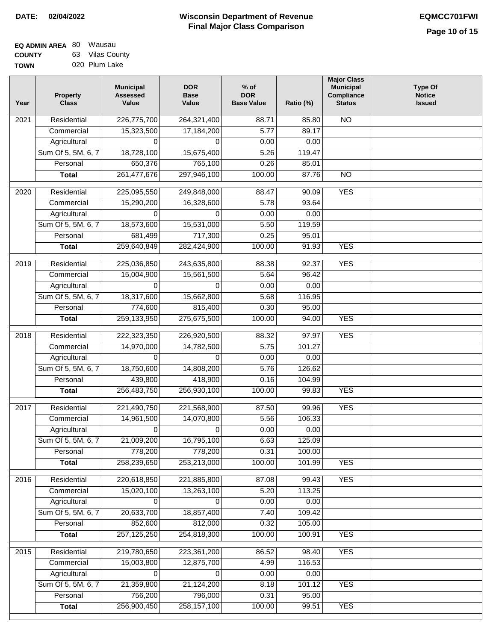| <b>EQ ADMIN AREA 80 Wausau</b> |                |
|--------------------------------|----------------|
| <b>COUNTY</b>                  | 63 Vilas Count |
| <b>TOWN</b>                    | 020 Plum Lake  |

| 63 Vilas County |
|-----------------|
| 020 Plum Lake   |

| Year              | <b>Property</b><br><b>Class</b> | <b>Municipal</b><br><b>Assessed</b><br>Value | <b>DOR</b><br><b>Base</b><br>Value | $%$ of<br><b>DOR</b><br><b>Base Value</b> | Ratio (%)      | <b>Major Class</b><br><b>Municipal</b><br>Compliance<br><b>Status</b> | <b>Type Of</b><br><b>Notice</b><br><b>Issued</b> |
|-------------------|---------------------------------|----------------------------------------------|------------------------------------|-------------------------------------------|----------------|-----------------------------------------------------------------------|--------------------------------------------------|
| $\overline{202}1$ | Residential                     | 226,775,700                                  | 264,321,400                        | 88.71                                     | 85.80          | <b>NO</b>                                                             |                                                  |
|                   | Commercial                      | 15,323,500                                   | 17,184,200                         | 5.77                                      | 89.17          |                                                                       |                                                  |
|                   | Agricultural                    | 0                                            | 0                                  | 0.00                                      | 0.00           |                                                                       |                                                  |
|                   | Sum Of 5, 5M, 6, 7              | 18,728,100                                   | 15,675,400                         | 5.26                                      | 119.47         |                                                                       |                                                  |
|                   | Personal                        | 650,376                                      | 765,100                            | 0.26                                      | 85.01          |                                                                       |                                                  |
|                   | <b>Total</b>                    | 261,477,676                                  | 297,946,100                        | 100.00                                    | 87.76          | <b>NO</b>                                                             |                                                  |
| $\overline{2020}$ | Residential                     | 225,095,550                                  | 249,848,000                        | 88.47                                     | 90.09          | <b>YES</b>                                                            |                                                  |
|                   | Commercial                      | 15,290,200                                   | 16,328,600                         | 5.78                                      | 93.64          |                                                                       |                                                  |
|                   | Agricultural                    | 0                                            | 0                                  | 0.00                                      | 0.00           |                                                                       |                                                  |
|                   | Sum Of 5, 5M, 6, 7              | 18,573,600                                   | 15,531,000                         | 5.50                                      | 119.59         |                                                                       |                                                  |
|                   | Personal                        | 681,499                                      | 717,300                            | 0.25                                      | 95.01          |                                                                       |                                                  |
|                   | <b>Total</b>                    | 259,640,849                                  | 282,424,900                        | 100.00                                    | 91.93          | <b>YES</b>                                                            |                                                  |
|                   |                                 |                                              |                                    |                                           |                |                                                                       |                                                  |
| 2019              | Residential<br>Commercial       | 225,036,850<br>15,004,900                    | 243,635,800<br>15,561,500          | 88.38<br>5.64                             | 92.37<br>96.42 | <b>YES</b>                                                            |                                                  |
|                   | Agricultural                    | 0                                            | 0                                  | 0.00                                      | 0.00           |                                                                       |                                                  |
|                   | Sum Of 5, 5M, 6, 7              | 18,317,600                                   | 15,662,800                         | 5.68                                      | 116.95         |                                                                       |                                                  |
|                   | Personal                        | 774,600                                      | 815,400                            | 0.30                                      | 95.00          |                                                                       |                                                  |
|                   | <b>Total</b>                    | 259,133,950                                  | 275,675,500                        | 100.00                                    | 94.00          | <b>YES</b>                                                            |                                                  |
|                   |                                 |                                              |                                    |                                           |                |                                                                       |                                                  |
| 2018              | Residential                     | 222,323,350                                  | 226,920,500                        | 88.32                                     | 97.97          | <b>YES</b>                                                            |                                                  |
|                   | Commercial                      | 14,970,000                                   | 14,782,500                         | 5.75                                      | 101.27         |                                                                       |                                                  |
|                   | Agricultural                    | 0                                            | 0                                  | 0.00                                      | 0.00           |                                                                       |                                                  |
|                   | Sum Of 5, 5M, 6, 7              | 18,750,600                                   | 14,808,200                         | 5.76                                      | 126.62         |                                                                       |                                                  |
|                   | Personal                        | 439,800                                      | 418,900                            | 0.16                                      | 104.99         |                                                                       |                                                  |
|                   | <b>Total</b>                    | 256,483,750                                  | 256,930,100                        | 100.00                                    | 99.83          | <b>YES</b>                                                            |                                                  |
| 2017              | Residential                     | 221,490,750                                  | 221,568,900                        | 87.50                                     | 99.96          | <b>YES</b>                                                            |                                                  |
|                   | Commercial                      | 14,961,500                                   | 14,070,800                         | 5.56                                      | 106.33         |                                                                       |                                                  |
|                   | Agricultural                    | $\Omega$                                     | $\Omega$                           | 0.00                                      | 0.00           |                                                                       |                                                  |
|                   | Sum Of 5, 5M, 6, 7              | 21,009,200                                   | 16,795,100                         | 6.63                                      | 125.09         |                                                                       |                                                  |
|                   | Personal                        | 778,200                                      | 778,200                            | 0.31                                      | 100.00         |                                                                       |                                                  |
|                   | <b>Total</b>                    | 258,239,650                                  | 253,213,000                        | 100.00                                    | 101.99         | <b>YES</b>                                                            |                                                  |
| 2016              | Residential                     | 220,618,850                                  | 221,885,800                        | 87.08                                     | 99.43          | <b>YES</b>                                                            |                                                  |
|                   | Commercial                      | 15,020,100                                   | 13,263,100                         | 5.20                                      | 113.25         |                                                                       |                                                  |
|                   | Agricultural                    | 0                                            | 0                                  | 0.00                                      | 0.00           |                                                                       |                                                  |
|                   | Sum Of 5, 5M, 6, 7              | 20,633,700                                   | 18,857,400                         | 7.40                                      | 109.42         |                                                                       |                                                  |
|                   | Personal                        | 852,600                                      | 812,000                            | 0.32                                      | 105.00         |                                                                       |                                                  |
|                   | <b>Total</b>                    | 257, 125, 250                                | 254,818,300                        | 100.00                                    | 100.91         | <b>YES</b>                                                            |                                                  |
|                   |                                 |                                              |                                    |                                           |                |                                                                       |                                                  |
| 2015              | Residential                     | 219,780,650                                  | 223,361,200                        | 86.52                                     | 98.40          | <b>YES</b>                                                            |                                                  |
|                   | Commercial                      | 15,003,800                                   | 12,875,700                         | 4.99                                      | 116.53         |                                                                       |                                                  |
|                   | Agricultural                    | 0                                            | 0                                  | 0.00                                      | 0.00           |                                                                       |                                                  |
|                   | Sum Of 5, 5M, 6, 7<br>Personal  | 21,359,800                                   | 21,124,200<br>796,000              | 8.18<br>0.31                              | 101.12         | <b>YES</b>                                                            |                                                  |
|                   | <b>Total</b>                    | 756,200<br>256,900,450                       | 258, 157, 100                      | 100.00                                    | 95.00<br>99.51 | <b>YES</b>                                                            |                                                  |
|                   |                                 |                                              |                                    |                                           |                |                                                                       |                                                  |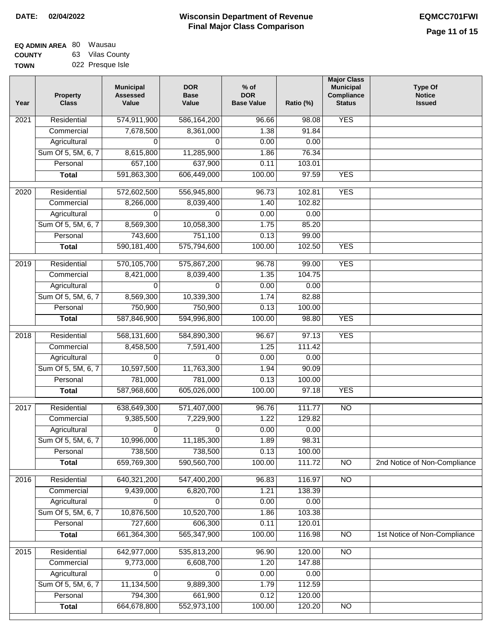| <b>EQ ADMIN AREA 80 Wausau</b> |                  |
|--------------------------------|------------------|
| <b>COUNTY</b>                  | 63 Vilas County  |
| <b>TOWN</b>                    | 022 Presque Isle |

| <b>YES</b><br>574,911,900<br>Residential<br>586,164,200<br>2021<br>96.66<br>98.08<br>1.38<br>91.84<br>Commercial<br>7,678,500<br>8,361,000<br>Agricultural<br>0.00<br>0.00<br>0<br>$\Omega$<br>Sum Of 5, 5M, 6, 7<br>8,615,800<br>11,285,900<br>1.86<br>76.34<br>657,100<br>637,900<br>0.11<br>103.01<br>Personal<br>591,863,300<br>606,449,000<br>97.59<br><b>Total</b><br>100.00<br><b>YES</b><br><b>YES</b><br>$\overline{2020}$<br>Residential<br>572,602,500<br>556,945,800<br>96.73<br>102.81<br>8,266,000<br>8,039,400<br>102.82<br>Commercial<br>1.40<br>0.00<br>0.00<br>Agricultural<br>0<br>$\Omega$<br>Sum Of 5, 5M, 6, 7<br>8,569,300<br>10,058,300<br>1.75<br>85.20<br>751,100<br>Personal<br>743,600<br>0.13<br>99.00<br>590, 181, 400<br><b>YES</b><br>575,794,600<br>100.00<br>102.50<br><b>Total</b><br>570,105,700<br><b>YES</b><br>Residential<br>575,867,200<br>96.78<br>99.00<br>2019<br>8,039,400<br>1.35<br>104.75<br>Commercial<br>8,421,000<br>0.00<br>Agricultural<br>$\Omega$<br>0.00<br>$\Omega$<br>Sum Of 5, 5M, 6, 7<br>8,569,300<br>10,339,300<br>1.74<br>82.88<br>Personal<br>750,900<br>750,900<br>0.13<br>100.00<br>587,846,900<br>100.00<br><b>YES</b><br>594,996,800<br>98.80<br><b>Total</b><br>Residential<br>568,131,600<br>584,890,300<br>97.13<br><b>YES</b><br>2018<br>96.67<br>Commercial<br>8,458,500<br>7,591,400<br>1.25<br>111.42<br>Agricultural<br>0.00<br>0.00<br>$\Omega$<br>0<br>Sum Of 5, 5M, 6, 7<br>10,597,500<br>11,763,300<br>90.09<br>1.94<br>Personal<br>781,000<br>781,000<br>0.13<br>100.00<br>587,968,600<br>605,026,000<br>100.00<br>97.18<br><b>YES</b><br><b>Total</b><br>Residential<br>638,649,300<br>571,407,000<br>111.77<br>$\overline{NO}$<br>2017<br>96.76<br>Commercial<br>9,385,500<br>1.22<br>129.82<br>7,229,900<br>0.00<br>0.00<br>Agricultural<br>0<br>0<br>98.31<br>Sum Of 5, 5M, 6, 7<br>10,996,000<br>11,185,300<br>1.89<br>738,500<br>738,500<br>Personal<br>0.13<br>100.00<br>659,769,300<br>590,560,700<br>100.00<br>111.72<br>2nd Notice of Non-Compliance<br><b>Total</b><br><b>NO</b><br>640,321,200<br>Residential<br>547,400,200<br>$\overline{NO}$<br>2016<br>96.83<br>116.97<br>Commercial<br>9,439,000<br>6,820,700<br>138.39<br>1.21<br>Agricultural<br>0<br>0<br>0.00<br>0.00<br>Sum Of 5, 5M, 6, 7<br>10,876,500<br>10,520,700<br>1.86<br>103.38<br>727,600<br>606,300<br>120.01<br>Personal<br>0.11<br>661,364,300<br>565,347,900<br>100.00<br>116.98<br>$\overline{NO}$<br>1st Notice of Non-Compliance<br><b>Total</b><br>Residential<br>642,977,000<br>535,813,200<br>96.90<br>120.00<br>$\overline{NO}$<br>2015<br>Commercial<br>9,773,000<br>6,608,700<br>1.20<br>147.88<br>Agricultural<br>0.00<br>0.00<br>0<br>0<br>Sum Of 5, 5M, 6, 7<br>11,134,500<br>9,889,300<br>112.59<br>1.79<br>794,300<br>Personal<br>661,900<br>0.12<br>120.00 | Year | Property<br><b>Class</b> | <b>Municipal</b><br><b>Assessed</b><br>Value | <b>DOR</b><br><b>Base</b><br>Value | $%$ of<br><b>DOR</b><br><b>Base Value</b> | Ratio (%) | <b>Major Class</b><br><b>Municipal</b><br>Compliance<br><b>Status</b> | <b>Type Of</b><br><b>Notice</b><br><b>Issued</b> |
|------------------------------------------------------------------------------------------------------------------------------------------------------------------------------------------------------------------------------------------------------------------------------------------------------------------------------------------------------------------------------------------------------------------------------------------------------------------------------------------------------------------------------------------------------------------------------------------------------------------------------------------------------------------------------------------------------------------------------------------------------------------------------------------------------------------------------------------------------------------------------------------------------------------------------------------------------------------------------------------------------------------------------------------------------------------------------------------------------------------------------------------------------------------------------------------------------------------------------------------------------------------------------------------------------------------------------------------------------------------------------------------------------------------------------------------------------------------------------------------------------------------------------------------------------------------------------------------------------------------------------------------------------------------------------------------------------------------------------------------------------------------------------------------------------------------------------------------------------------------------------------------------------------------------------------------------------------------------------------------------------------------------------------------------------------------------------------------------------------------------------------------------------------------------------------------------------------------------------------------------------------------------------------------------------------------------------------------------------------------------------------------------------------------------------------------------------------------------------------------------------------------------------------------------------------------------------------------------------------------------------------------------------------------------------------------------------------------------------------------------------------------------------------------------------------------------------------------------|------|--------------------------|----------------------------------------------|------------------------------------|-------------------------------------------|-----------|-----------------------------------------------------------------------|--------------------------------------------------|
|                                                                                                                                                                                                                                                                                                                                                                                                                                                                                                                                                                                                                                                                                                                                                                                                                                                                                                                                                                                                                                                                                                                                                                                                                                                                                                                                                                                                                                                                                                                                                                                                                                                                                                                                                                                                                                                                                                                                                                                                                                                                                                                                                                                                                                                                                                                                                                                                                                                                                                                                                                                                                                                                                                                                                                                                                                                |      |                          |                                              |                                    |                                           |           |                                                                       |                                                  |
|                                                                                                                                                                                                                                                                                                                                                                                                                                                                                                                                                                                                                                                                                                                                                                                                                                                                                                                                                                                                                                                                                                                                                                                                                                                                                                                                                                                                                                                                                                                                                                                                                                                                                                                                                                                                                                                                                                                                                                                                                                                                                                                                                                                                                                                                                                                                                                                                                                                                                                                                                                                                                                                                                                                                                                                                                                                |      |                          |                                              |                                    |                                           |           |                                                                       |                                                  |
|                                                                                                                                                                                                                                                                                                                                                                                                                                                                                                                                                                                                                                                                                                                                                                                                                                                                                                                                                                                                                                                                                                                                                                                                                                                                                                                                                                                                                                                                                                                                                                                                                                                                                                                                                                                                                                                                                                                                                                                                                                                                                                                                                                                                                                                                                                                                                                                                                                                                                                                                                                                                                                                                                                                                                                                                                                                |      |                          |                                              |                                    |                                           |           |                                                                       |                                                  |
|                                                                                                                                                                                                                                                                                                                                                                                                                                                                                                                                                                                                                                                                                                                                                                                                                                                                                                                                                                                                                                                                                                                                                                                                                                                                                                                                                                                                                                                                                                                                                                                                                                                                                                                                                                                                                                                                                                                                                                                                                                                                                                                                                                                                                                                                                                                                                                                                                                                                                                                                                                                                                                                                                                                                                                                                                                                |      |                          |                                              |                                    |                                           |           |                                                                       |                                                  |
|                                                                                                                                                                                                                                                                                                                                                                                                                                                                                                                                                                                                                                                                                                                                                                                                                                                                                                                                                                                                                                                                                                                                                                                                                                                                                                                                                                                                                                                                                                                                                                                                                                                                                                                                                                                                                                                                                                                                                                                                                                                                                                                                                                                                                                                                                                                                                                                                                                                                                                                                                                                                                                                                                                                                                                                                                                                |      |                          |                                              |                                    |                                           |           |                                                                       |                                                  |
|                                                                                                                                                                                                                                                                                                                                                                                                                                                                                                                                                                                                                                                                                                                                                                                                                                                                                                                                                                                                                                                                                                                                                                                                                                                                                                                                                                                                                                                                                                                                                                                                                                                                                                                                                                                                                                                                                                                                                                                                                                                                                                                                                                                                                                                                                                                                                                                                                                                                                                                                                                                                                                                                                                                                                                                                                                                |      |                          |                                              |                                    |                                           |           |                                                                       |                                                  |
|                                                                                                                                                                                                                                                                                                                                                                                                                                                                                                                                                                                                                                                                                                                                                                                                                                                                                                                                                                                                                                                                                                                                                                                                                                                                                                                                                                                                                                                                                                                                                                                                                                                                                                                                                                                                                                                                                                                                                                                                                                                                                                                                                                                                                                                                                                                                                                                                                                                                                                                                                                                                                                                                                                                                                                                                                                                |      |                          |                                              |                                    |                                           |           |                                                                       |                                                  |
|                                                                                                                                                                                                                                                                                                                                                                                                                                                                                                                                                                                                                                                                                                                                                                                                                                                                                                                                                                                                                                                                                                                                                                                                                                                                                                                                                                                                                                                                                                                                                                                                                                                                                                                                                                                                                                                                                                                                                                                                                                                                                                                                                                                                                                                                                                                                                                                                                                                                                                                                                                                                                                                                                                                                                                                                                                                |      |                          |                                              |                                    |                                           |           |                                                                       |                                                  |
|                                                                                                                                                                                                                                                                                                                                                                                                                                                                                                                                                                                                                                                                                                                                                                                                                                                                                                                                                                                                                                                                                                                                                                                                                                                                                                                                                                                                                                                                                                                                                                                                                                                                                                                                                                                                                                                                                                                                                                                                                                                                                                                                                                                                                                                                                                                                                                                                                                                                                                                                                                                                                                                                                                                                                                                                                                                |      |                          |                                              |                                    |                                           |           |                                                                       |                                                  |
|                                                                                                                                                                                                                                                                                                                                                                                                                                                                                                                                                                                                                                                                                                                                                                                                                                                                                                                                                                                                                                                                                                                                                                                                                                                                                                                                                                                                                                                                                                                                                                                                                                                                                                                                                                                                                                                                                                                                                                                                                                                                                                                                                                                                                                                                                                                                                                                                                                                                                                                                                                                                                                                                                                                                                                                                                                                |      |                          |                                              |                                    |                                           |           |                                                                       |                                                  |
|                                                                                                                                                                                                                                                                                                                                                                                                                                                                                                                                                                                                                                                                                                                                                                                                                                                                                                                                                                                                                                                                                                                                                                                                                                                                                                                                                                                                                                                                                                                                                                                                                                                                                                                                                                                                                                                                                                                                                                                                                                                                                                                                                                                                                                                                                                                                                                                                                                                                                                                                                                                                                                                                                                                                                                                                                                                |      |                          |                                              |                                    |                                           |           |                                                                       |                                                  |
|                                                                                                                                                                                                                                                                                                                                                                                                                                                                                                                                                                                                                                                                                                                                                                                                                                                                                                                                                                                                                                                                                                                                                                                                                                                                                                                                                                                                                                                                                                                                                                                                                                                                                                                                                                                                                                                                                                                                                                                                                                                                                                                                                                                                                                                                                                                                                                                                                                                                                                                                                                                                                                                                                                                                                                                                                                                |      |                          |                                              |                                    |                                           |           |                                                                       |                                                  |
|                                                                                                                                                                                                                                                                                                                                                                                                                                                                                                                                                                                                                                                                                                                                                                                                                                                                                                                                                                                                                                                                                                                                                                                                                                                                                                                                                                                                                                                                                                                                                                                                                                                                                                                                                                                                                                                                                                                                                                                                                                                                                                                                                                                                                                                                                                                                                                                                                                                                                                                                                                                                                                                                                                                                                                                                                                                |      |                          |                                              |                                    |                                           |           |                                                                       |                                                  |
|                                                                                                                                                                                                                                                                                                                                                                                                                                                                                                                                                                                                                                                                                                                                                                                                                                                                                                                                                                                                                                                                                                                                                                                                                                                                                                                                                                                                                                                                                                                                                                                                                                                                                                                                                                                                                                                                                                                                                                                                                                                                                                                                                                                                                                                                                                                                                                                                                                                                                                                                                                                                                                                                                                                                                                                                                                                |      |                          |                                              |                                    |                                           |           |                                                                       |                                                  |
|                                                                                                                                                                                                                                                                                                                                                                                                                                                                                                                                                                                                                                                                                                                                                                                                                                                                                                                                                                                                                                                                                                                                                                                                                                                                                                                                                                                                                                                                                                                                                                                                                                                                                                                                                                                                                                                                                                                                                                                                                                                                                                                                                                                                                                                                                                                                                                                                                                                                                                                                                                                                                                                                                                                                                                                                                                                |      |                          |                                              |                                    |                                           |           |                                                                       |                                                  |
|                                                                                                                                                                                                                                                                                                                                                                                                                                                                                                                                                                                                                                                                                                                                                                                                                                                                                                                                                                                                                                                                                                                                                                                                                                                                                                                                                                                                                                                                                                                                                                                                                                                                                                                                                                                                                                                                                                                                                                                                                                                                                                                                                                                                                                                                                                                                                                                                                                                                                                                                                                                                                                                                                                                                                                                                                                                |      |                          |                                              |                                    |                                           |           |                                                                       |                                                  |
|                                                                                                                                                                                                                                                                                                                                                                                                                                                                                                                                                                                                                                                                                                                                                                                                                                                                                                                                                                                                                                                                                                                                                                                                                                                                                                                                                                                                                                                                                                                                                                                                                                                                                                                                                                                                                                                                                                                                                                                                                                                                                                                                                                                                                                                                                                                                                                                                                                                                                                                                                                                                                                                                                                                                                                                                                                                |      |                          |                                              |                                    |                                           |           |                                                                       |                                                  |
|                                                                                                                                                                                                                                                                                                                                                                                                                                                                                                                                                                                                                                                                                                                                                                                                                                                                                                                                                                                                                                                                                                                                                                                                                                                                                                                                                                                                                                                                                                                                                                                                                                                                                                                                                                                                                                                                                                                                                                                                                                                                                                                                                                                                                                                                                                                                                                                                                                                                                                                                                                                                                                                                                                                                                                                                                                                |      |                          |                                              |                                    |                                           |           |                                                                       |                                                  |
|                                                                                                                                                                                                                                                                                                                                                                                                                                                                                                                                                                                                                                                                                                                                                                                                                                                                                                                                                                                                                                                                                                                                                                                                                                                                                                                                                                                                                                                                                                                                                                                                                                                                                                                                                                                                                                                                                                                                                                                                                                                                                                                                                                                                                                                                                                                                                                                                                                                                                                                                                                                                                                                                                                                                                                                                                                                |      |                          |                                              |                                    |                                           |           |                                                                       |                                                  |
|                                                                                                                                                                                                                                                                                                                                                                                                                                                                                                                                                                                                                                                                                                                                                                                                                                                                                                                                                                                                                                                                                                                                                                                                                                                                                                                                                                                                                                                                                                                                                                                                                                                                                                                                                                                                                                                                                                                                                                                                                                                                                                                                                                                                                                                                                                                                                                                                                                                                                                                                                                                                                                                                                                                                                                                                                                                |      |                          |                                              |                                    |                                           |           |                                                                       |                                                  |
|                                                                                                                                                                                                                                                                                                                                                                                                                                                                                                                                                                                                                                                                                                                                                                                                                                                                                                                                                                                                                                                                                                                                                                                                                                                                                                                                                                                                                                                                                                                                                                                                                                                                                                                                                                                                                                                                                                                                                                                                                                                                                                                                                                                                                                                                                                                                                                                                                                                                                                                                                                                                                                                                                                                                                                                                                                                |      |                          |                                              |                                    |                                           |           |                                                                       |                                                  |
|                                                                                                                                                                                                                                                                                                                                                                                                                                                                                                                                                                                                                                                                                                                                                                                                                                                                                                                                                                                                                                                                                                                                                                                                                                                                                                                                                                                                                                                                                                                                                                                                                                                                                                                                                                                                                                                                                                                                                                                                                                                                                                                                                                                                                                                                                                                                                                                                                                                                                                                                                                                                                                                                                                                                                                                                                                                |      |                          |                                              |                                    |                                           |           |                                                                       |                                                  |
|                                                                                                                                                                                                                                                                                                                                                                                                                                                                                                                                                                                                                                                                                                                                                                                                                                                                                                                                                                                                                                                                                                                                                                                                                                                                                                                                                                                                                                                                                                                                                                                                                                                                                                                                                                                                                                                                                                                                                                                                                                                                                                                                                                                                                                                                                                                                                                                                                                                                                                                                                                                                                                                                                                                                                                                                                                                |      |                          |                                              |                                    |                                           |           |                                                                       |                                                  |
|                                                                                                                                                                                                                                                                                                                                                                                                                                                                                                                                                                                                                                                                                                                                                                                                                                                                                                                                                                                                                                                                                                                                                                                                                                                                                                                                                                                                                                                                                                                                                                                                                                                                                                                                                                                                                                                                                                                                                                                                                                                                                                                                                                                                                                                                                                                                                                                                                                                                                                                                                                                                                                                                                                                                                                                                                                                |      |                          |                                              |                                    |                                           |           |                                                                       |                                                  |
|                                                                                                                                                                                                                                                                                                                                                                                                                                                                                                                                                                                                                                                                                                                                                                                                                                                                                                                                                                                                                                                                                                                                                                                                                                                                                                                                                                                                                                                                                                                                                                                                                                                                                                                                                                                                                                                                                                                                                                                                                                                                                                                                                                                                                                                                                                                                                                                                                                                                                                                                                                                                                                                                                                                                                                                                                                                |      |                          |                                              |                                    |                                           |           |                                                                       |                                                  |
|                                                                                                                                                                                                                                                                                                                                                                                                                                                                                                                                                                                                                                                                                                                                                                                                                                                                                                                                                                                                                                                                                                                                                                                                                                                                                                                                                                                                                                                                                                                                                                                                                                                                                                                                                                                                                                                                                                                                                                                                                                                                                                                                                                                                                                                                                                                                                                                                                                                                                                                                                                                                                                                                                                                                                                                                                                                |      |                          |                                              |                                    |                                           |           |                                                                       |                                                  |
|                                                                                                                                                                                                                                                                                                                                                                                                                                                                                                                                                                                                                                                                                                                                                                                                                                                                                                                                                                                                                                                                                                                                                                                                                                                                                                                                                                                                                                                                                                                                                                                                                                                                                                                                                                                                                                                                                                                                                                                                                                                                                                                                                                                                                                                                                                                                                                                                                                                                                                                                                                                                                                                                                                                                                                                                                                                |      |                          |                                              |                                    |                                           |           |                                                                       |                                                  |
|                                                                                                                                                                                                                                                                                                                                                                                                                                                                                                                                                                                                                                                                                                                                                                                                                                                                                                                                                                                                                                                                                                                                                                                                                                                                                                                                                                                                                                                                                                                                                                                                                                                                                                                                                                                                                                                                                                                                                                                                                                                                                                                                                                                                                                                                                                                                                                                                                                                                                                                                                                                                                                                                                                                                                                                                                                                |      |                          |                                              |                                    |                                           |           |                                                                       |                                                  |
|                                                                                                                                                                                                                                                                                                                                                                                                                                                                                                                                                                                                                                                                                                                                                                                                                                                                                                                                                                                                                                                                                                                                                                                                                                                                                                                                                                                                                                                                                                                                                                                                                                                                                                                                                                                                                                                                                                                                                                                                                                                                                                                                                                                                                                                                                                                                                                                                                                                                                                                                                                                                                                                                                                                                                                                                                                                |      |                          |                                              |                                    |                                           |           |                                                                       |                                                  |
|                                                                                                                                                                                                                                                                                                                                                                                                                                                                                                                                                                                                                                                                                                                                                                                                                                                                                                                                                                                                                                                                                                                                                                                                                                                                                                                                                                                                                                                                                                                                                                                                                                                                                                                                                                                                                                                                                                                                                                                                                                                                                                                                                                                                                                                                                                                                                                                                                                                                                                                                                                                                                                                                                                                                                                                                                                                |      |                          |                                              |                                    |                                           |           |                                                                       |                                                  |
|                                                                                                                                                                                                                                                                                                                                                                                                                                                                                                                                                                                                                                                                                                                                                                                                                                                                                                                                                                                                                                                                                                                                                                                                                                                                                                                                                                                                                                                                                                                                                                                                                                                                                                                                                                                                                                                                                                                                                                                                                                                                                                                                                                                                                                                                                                                                                                                                                                                                                                                                                                                                                                                                                                                                                                                                                                                |      |                          |                                              |                                    |                                           |           |                                                                       |                                                  |
|                                                                                                                                                                                                                                                                                                                                                                                                                                                                                                                                                                                                                                                                                                                                                                                                                                                                                                                                                                                                                                                                                                                                                                                                                                                                                                                                                                                                                                                                                                                                                                                                                                                                                                                                                                                                                                                                                                                                                                                                                                                                                                                                                                                                                                                                                                                                                                                                                                                                                                                                                                                                                                                                                                                                                                                                                                                |      |                          |                                              |                                    |                                           |           |                                                                       |                                                  |
|                                                                                                                                                                                                                                                                                                                                                                                                                                                                                                                                                                                                                                                                                                                                                                                                                                                                                                                                                                                                                                                                                                                                                                                                                                                                                                                                                                                                                                                                                                                                                                                                                                                                                                                                                                                                                                                                                                                                                                                                                                                                                                                                                                                                                                                                                                                                                                                                                                                                                                                                                                                                                                                                                                                                                                                                                                                |      |                          |                                              |                                    |                                           |           |                                                                       |                                                  |
|                                                                                                                                                                                                                                                                                                                                                                                                                                                                                                                                                                                                                                                                                                                                                                                                                                                                                                                                                                                                                                                                                                                                                                                                                                                                                                                                                                                                                                                                                                                                                                                                                                                                                                                                                                                                                                                                                                                                                                                                                                                                                                                                                                                                                                                                                                                                                                                                                                                                                                                                                                                                                                                                                                                                                                                                                                                |      |                          |                                              |                                    |                                           |           |                                                                       |                                                  |
|                                                                                                                                                                                                                                                                                                                                                                                                                                                                                                                                                                                                                                                                                                                                                                                                                                                                                                                                                                                                                                                                                                                                                                                                                                                                                                                                                                                                                                                                                                                                                                                                                                                                                                                                                                                                                                                                                                                                                                                                                                                                                                                                                                                                                                                                                                                                                                                                                                                                                                                                                                                                                                                                                                                                                                                                                                                |      |                          |                                              |                                    |                                           |           |                                                                       |                                                  |
|                                                                                                                                                                                                                                                                                                                                                                                                                                                                                                                                                                                                                                                                                                                                                                                                                                                                                                                                                                                                                                                                                                                                                                                                                                                                                                                                                                                                                                                                                                                                                                                                                                                                                                                                                                                                                                                                                                                                                                                                                                                                                                                                                                                                                                                                                                                                                                                                                                                                                                                                                                                                                                                                                                                                                                                                                                                |      |                          |                                              |                                    |                                           |           |                                                                       |                                                  |
|                                                                                                                                                                                                                                                                                                                                                                                                                                                                                                                                                                                                                                                                                                                                                                                                                                                                                                                                                                                                                                                                                                                                                                                                                                                                                                                                                                                                                                                                                                                                                                                                                                                                                                                                                                                                                                                                                                                                                                                                                                                                                                                                                                                                                                                                                                                                                                                                                                                                                                                                                                                                                                                                                                                                                                                                                                                |      |                          |                                              |                                    |                                           |           |                                                                       |                                                  |
|                                                                                                                                                                                                                                                                                                                                                                                                                                                                                                                                                                                                                                                                                                                                                                                                                                                                                                                                                                                                                                                                                                                                                                                                                                                                                                                                                                                                                                                                                                                                                                                                                                                                                                                                                                                                                                                                                                                                                                                                                                                                                                                                                                                                                                                                                                                                                                                                                                                                                                                                                                                                                                                                                                                                                                                                                                                |      |                          |                                              |                                    |                                           |           |                                                                       |                                                  |
|                                                                                                                                                                                                                                                                                                                                                                                                                                                                                                                                                                                                                                                                                                                                                                                                                                                                                                                                                                                                                                                                                                                                                                                                                                                                                                                                                                                                                                                                                                                                                                                                                                                                                                                                                                                                                                                                                                                                                                                                                                                                                                                                                                                                                                                                                                                                                                                                                                                                                                                                                                                                                                                                                                                                                                                                                                                |      |                          |                                              |                                    |                                           |           |                                                                       |                                                  |
|                                                                                                                                                                                                                                                                                                                                                                                                                                                                                                                                                                                                                                                                                                                                                                                                                                                                                                                                                                                                                                                                                                                                                                                                                                                                                                                                                                                                                                                                                                                                                                                                                                                                                                                                                                                                                                                                                                                                                                                                                                                                                                                                                                                                                                                                                                                                                                                                                                                                                                                                                                                                                                                                                                                                                                                                                                                |      |                          |                                              |                                    |                                           |           |                                                                       |                                                  |
|                                                                                                                                                                                                                                                                                                                                                                                                                                                                                                                                                                                                                                                                                                                                                                                                                                                                                                                                                                                                                                                                                                                                                                                                                                                                                                                                                                                                                                                                                                                                                                                                                                                                                                                                                                                                                                                                                                                                                                                                                                                                                                                                                                                                                                                                                                                                                                                                                                                                                                                                                                                                                                                                                                                                                                                                                                                |      |                          |                                              |                                    |                                           |           |                                                                       |                                                  |
| 664,678,800<br>552,973,100<br>120.20<br><b>Total</b><br>100.00<br>NO                                                                                                                                                                                                                                                                                                                                                                                                                                                                                                                                                                                                                                                                                                                                                                                                                                                                                                                                                                                                                                                                                                                                                                                                                                                                                                                                                                                                                                                                                                                                                                                                                                                                                                                                                                                                                                                                                                                                                                                                                                                                                                                                                                                                                                                                                                                                                                                                                                                                                                                                                                                                                                                                                                                                                                           |      |                          |                                              |                                    |                                           |           |                                                                       |                                                  |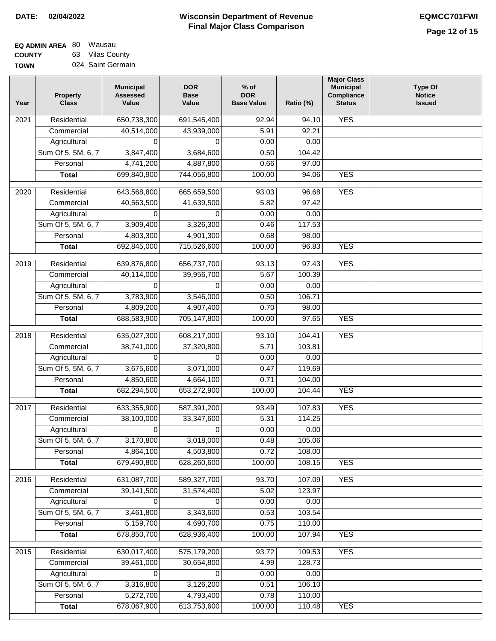| <b>EQ ADMIN AREA 80 Wausau</b> |                   |
|--------------------------------|-------------------|
| <b>COUNTY</b>                  | 63 Vilas County   |
| <b>TOWN</b>                    | 024 Saint Germain |

| Year | <b>Property</b><br><b>Class</b> | <b>Municipal</b><br><b>Assessed</b><br>Value | <b>DOR</b><br><b>Base</b><br>Value | $%$ of<br><b>DOR</b><br><b>Base Value</b> | Ratio (%) | <b>Major Class</b><br><b>Municipal</b><br>Compliance<br><b>Status</b> | <b>Type Of</b><br><b>Notice</b><br><b>Issued</b> |
|------|---------------------------------|----------------------------------------------|------------------------------------|-------------------------------------------|-----------|-----------------------------------------------------------------------|--------------------------------------------------|
| 2021 | Residential                     | 650,738,300                                  | 691, 545, 400                      | 92.94                                     | 94.10     | <b>YES</b>                                                            |                                                  |
|      | Commercial                      | 40,514,000                                   | 43,939,000                         | 5.91                                      | 92.21     |                                                                       |                                                  |
|      | Agricultural                    | 0                                            | 0                                  | 0.00                                      | 0.00      |                                                                       |                                                  |
|      | Sum Of 5, 5M, 6, 7              | 3,847,400                                    | 3,684,600                          | 0.50                                      | 104.42    |                                                                       |                                                  |
|      | Personal                        | 4,741,200                                    | 4,887,800                          | 0.66                                      | 97.00     |                                                                       |                                                  |
|      | <b>Total</b>                    | 699,840,900                                  | 744,056,800                        | 100.00                                    | 94.06     | <b>YES</b>                                                            |                                                  |
| 2020 | Residential                     | 643,568,800                                  | 665,659,500                        | 93.03                                     | 96.68     | <b>YES</b>                                                            |                                                  |
|      | Commercial                      | 40,563,500                                   | 41,639,500                         | 5.82                                      | 97.42     |                                                                       |                                                  |
|      | Agricultural                    | 0                                            | 0                                  | 0.00                                      | 0.00      |                                                                       |                                                  |
|      | Sum Of 5, 5M, 6, 7              | 3,909,400                                    | 3,326,300                          | 0.46                                      | 117.53    |                                                                       |                                                  |
|      | Personal                        | 4,803,300                                    | 4,901,300                          | 0.68                                      | 98.00     |                                                                       |                                                  |
|      | <b>Total</b>                    | 692,845,000                                  | 715,526,600                        | 100.00                                    | 96.83     | <b>YES</b>                                                            |                                                  |
| 2019 | Residential                     | 639,876,800                                  | 656,737,700                        | 93.13                                     | 97.43     | <b>YES</b>                                                            |                                                  |
|      | Commercial                      | 40,114,000                                   | 39,956,700                         | 5.67                                      | 100.39    |                                                                       |                                                  |
|      | Agricultural                    | 0                                            | 0                                  | 0.00                                      | 0.00      |                                                                       |                                                  |
|      | Sum Of 5, 5M, 6, 7              | 3,783,900                                    | 3,546,000                          | 0.50                                      | 106.71    |                                                                       |                                                  |
|      | Personal                        | 4,809,200                                    | 4,907,400                          | 0.70                                      | 98.00     |                                                                       |                                                  |
|      | <b>Total</b>                    | 688,583,900                                  | 705,147,800                        | 100.00                                    | 97.65     | <b>YES</b>                                                            |                                                  |
|      |                                 |                                              |                                    |                                           |           |                                                                       |                                                  |
| 2018 | Residential                     | 635,027,300                                  | 608,217,000                        | 93.10                                     | 104.41    | <b>YES</b>                                                            |                                                  |
|      | Commercial                      | 38,741,000                                   | 37,320,800                         | 5.71                                      | 103.81    |                                                                       |                                                  |
|      | Agricultural                    | 0                                            | 0                                  | 0.00                                      | 0.00      |                                                                       |                                                  |
|      | Sum Of 5, 5M, 6, 7              | 3,675,600                                    | 3,071,000                          | 0.47                                      | 119.69    |                                                                       |                                                  |
|      | Personal                        | 4,850,600                                    | 4,664,100                          | 0.71                                      | 104.00    |                                                                       |                                                  |
|      | <b>Total</b>                    | 682,294,500                                  | 653,272,900                        | 100.00                                    | 104.44    | <b>YES</b>                                                            |                                                  |
| 2017 | Residential                     | 633,355,900                                  | 587,391,200                        | 93.49                                     | 107.83    | <b>YES</b>                                                            |                                                  |
|      | Commercial                      | 38,100,000                                   | 33,347,600                         | 5.31                                      | 114.25    |                                                                       |                                                  |
|      | Agricultural                    | 0                                            | $\Omega$                           | 0.00                                      | 0.00      |                                                                       |                                                  |
|      | Sum Of 5, 5M, 6, 7              | 3,170,800                                    | 3,018,000                          | 0.48                                      | 105.06    |                                                                       |                                                  |
|      | Personal                        | 4,864,100                                    | 4,503,800                          | 0.72                                      | 108.00    |                                                                       |                                                  |
|      | <b>Total</b>                    | 679,490,800                                  | 628,260,600                        | 100.00                                    | 108.15    | <b>YES</b>                                                            |                                                  |
| 2016 | Residential                     | 631,087,700                                  | 589,327,700                        | 93.70                                     | 107.09    | <b>YES</b>                                                            |                                                  |
|      | Commercial                      | 39,141,500                                   | 31,574,400                         | 5.02                                      | 123.97    |                                                                       |                                                  |
|      | Agricultural                    | 0                                            | 0                                  | 0.00                                      | 0.00      |                                                                       |                                                  |
|      | Sum Of 5, 5M, 6, 7              | 3,461,800                                    | 3,343,600                          | 0.53                                      | 103.54    |                                                                       |                                                  |
|      | Personal                        | 5,159,700                                    | 4,690,700                          | 0.75                                      | 110.00    |                                                                       |                                                  |
|      | <b>Total</b>                    | 678,850,700                                  | 628,936,400                        | 100.00                                    | 107.94    | <b>YES</b>                                                            |                                                  |
| 2015 | Residential                     | 630,017,400                                  | 575,179,200                        | 93.72                                     | 109.53    | <b>YES</b>                                                            |                                                  |
|      | Commercial                      | 39,461,000                                   | 30,654,800                         | 4.99                                      | 128.73    |                                                                       |                                                  |
|      | Agricultural                    | 0                                            | 0                                  | 0.00                                      | 0.00      |                                                                       |                                                  |
|      | Sum Of 5, 5M, 6, 7              | 3,316,800                                    | 3,126,200                          | 0.51                                      | 106.10    |                                                                       |                                                  |
|      | Personal                        | 5,272,700                                    | 4,793,400                          | 0.78                                      | 110.00    |                                                                       |                                                  |
|      | <b>Total</b>                    | 678,067,900                                  | 613,753,600                        | 100.00                                    | 110.48    | <b>YES</b>                                                            |                                                  |
|      |                                 |                                              |                                    |                                           |           |                                                                       |                                                  |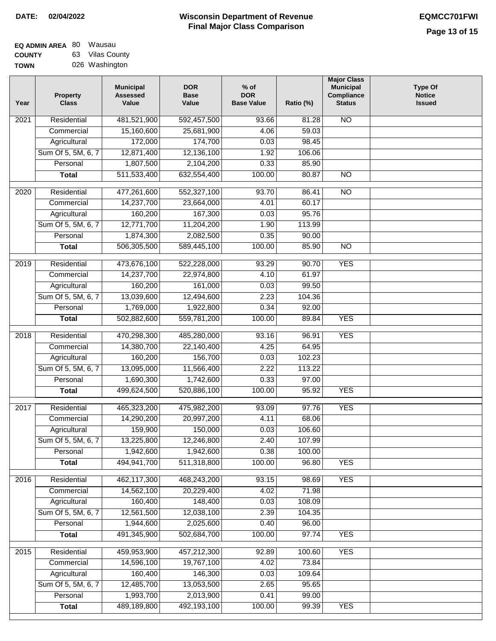| EQ ADMIN AREA 80 | Wausau          |
|------------------|-----------------|
| <b>COUNTY</b>    | 63 Vilas County |
| TOWN             | 026 Washington  |

| Year              | <b>Property</b><br><b>Class</b>    | <b>Municipal</b><br><b>Assessed</b><br>Value | <b>DOR</b><br><b>Base</b><br>Value | % of<br><b>DOR</b><br><b>Base Value</b> | Ratio (%)      | <b>Major Class</b><br><b>Municipal</b><br>Compliance<br><b>Status</b> | <b>Type Of</b><br><b>Notice</b><br><b>Issued</b> |
|-------------------|------------------------------------|----------------------------------------------|------------------------------------|-----------------------------------------|----------------|-----------------------------------------------------------------------|--------------------------------------------------|
| $\overline{202}1$ | Residential                        | 481,521,900                                  | 592,457,500                        | 93.66                                   | 81.28          | <b>NO</b>                                                             |                                                  |
|                   | Commercial                         | 15,160,600                                   | 25,681,900                         | 4.06                                    | 59.03          |                                                                       |                                                  |
|                   | Agricultural                       | 172,000                                      | 174,700                            | 0.03                                    | 98.45          |                                                                       |                                                  |
|                   | Sum Of 5, 5M, 6, 7                 | 12,871,400                                   | 12,136,100                         | 1.92                                    | 106.06         |                                                                       |                                                  |
|                   | Personal                           | 1,807,500                                    | 2,104,200                          | 0.33                                    | 85.90          |                                                                       |                                                  |
|                   | <b>Total</b>                       | 511,533,400                                  | 632,554,400                        | 100.00                                  | 80.87          | $\overline{NO}$                                                       |                                                  |
| $\overline{2020}$ | Residential                        | 477,261,600                                  | 552,327,100                        | 93.70                                   | 86.41          | $\overline{N}$                                                        |                                                  |
|                   | Commercial                         | 14,237,700                                   | 23,664,000                         | 4.01                                    | 60.17          |                                                                       |                                                  |
|                   | Agricultural                       | 160,200                                      | 167,300                            | 0.03                                    | 95.76          |                                                                       |                                                  |
|                   | Sum Of 5, 5M, 6, 7                 | 12,771,700                                   | 11,204,200                         | 1.90                                    | 113.99         |                                                                       |                                                  |
|                   | Personal                           | 1,874,300                                    | 2,082,500                          | 0.35                                    | 90.00          |                                                                       |                                                  |
|                   | <b>Total</b>                       | 506,305,500                                  | 589,445,100                        | 100.00                                  | 85.90          | $\overline{NO}$                                                       |                                                  |
| 2019              | Residential                        | 473,676,100                                  | 522,228,000                        | 93.29                                   | 90.70          | <b>YES</b>                                                            |                                                  |
|                   | Commercial                         | 14,237,700                                   | 22,974,800                         | 4.10                                    | 61.97          |                                                                       |                                                  |
|                   | Agricultural                       | 160,200                                      | 161,000                            | 0.03                                    | 99.50          |                                                                       |                                                  |
|                   | Sum Of 5, 5M, 6, 7                 | 13,039,600                                   | 12,494,600                         | 2.23                                    | 104.36         |                                                                       |                                                  |
|                   | Personal                           | 1,769,000                                    | 1,922,800                          | 0.34                                    | 92.00          |                                                                       |                                                  |
|                   | <b>Total</b>                       | 502,882,600                                  | 559,781,200                        | 100.00                                  | 89.84          | <b>YES</b>                                                            |                                                  |
| 2018              | Residential                        | 470,298,300                                  | 485,280,000                        | 93.16                                   | 96.91          | <b>YES</b>                                                            |                                                  |
|                   | Commercial                         | 14,380,700                                   | 22,140,400                         | 4.25                                    | 64.95          |                                                                       |                                                  |
|                   | Agricultural                       | 160,200                                      | 156,700                            | 0.03                                    | 102.23         |                                                                       |                                                  |
|                   | Sum Of 5, 5M, 6, 7                 | 13,095,000                                   | 11,566,400                         | 2.22                                    | 113.22         |                                                                       |                                                  |
|                   | Personal                           | 1,690,300                                    | 1,742,600                          | 0.33                                    | 97.00          |                                                                       |                                                  |
|                   | <b>Total</b>                       | 499,624,500                                  | 520,886,100                        | 100.00                                  | 95.92          | <b>YES</b>                                                            |                                                  |
| 2017              | Residential                        | 465,323,200                                  | 475,982,200                        | 93.09                                   | 97.76          | <b>YES</b>                                                            |                                                  |
|                   | Commercial                         | 14,290,200                                   | 20,997,200                         | 4.11                                    | 68.06          |                                                                       |                                                  |
|                   | Agricultural                       | 159,900                                      | 150,000                            | 0.03                                    | 106.60         |                                                                       |                                                  |
|                   | Sum Of 5, 5M, 6, 7                 | 13,225,800                                   | 12,246,800                         | 2.40                                    | 107.99         |                                                                       |                                                  |
|                   | Personal                           | 1,942,600                                    | 1,942,600                          | 0.38                                    | 100.00         |                                                                       |                                                  |
|                   | <b>Total</b>                       | 494,941,700                                  | 511,318,800                        | 100.00                                  | 96.80          | <b>YES</b>                                                            |                                                  |
|                   |                                    |                                              |                                    |                                         |                |                                                                       |                                                  |
| 2016              | Residential                        | 462,117,300<br>14,562,100                    | 468,243,200<br>20,229,400          | 93.15<br>4.02                           | 98.69<br>71.98 | <b>YES</b>                                                            |                                                  |
|                   | Commercial                         | 160,400                                      | 148,400                            | 0.03                                    | 108.09         |                                                                       |                                                  |
|                   | Agricultural<br>Sum Of 5, 5M, 6, 7 | 12,561,500                                   | 12,038,100                         | 2.39                                    | 104.35         |                                                                       |                                                  |
|                   | Personal                           | 1,944,600                                    | 2,025,600                          | 0.40                                    | 96.00          |                                                                       |                                                  |
|                   | <b>Total</b>                       | 491,345,900                                  | 502,684,700                        | 100.00                                  | 97.74          | <b>YES</b>                                                            |                                                  |
|                   |                                    |                                              |                                    |                                         |                |                                                                       |                                                  |
| 2015              | Residential                        | 459,953,900                                  | 457,212,300                        | 92.89                                   | 100.60         | <b>YES</b>                                                            |                                                  |
|                   | Commercial                         | 14,596,100                                   | 19,767,100                         | 4.02                                    | 73.84          |                                                                       |                                                  |
|                   | Agricultural                       | 160,400                                      | 146,300                            | 0.03                                    | 109.64         |                                                                       |                                                  |
|                   | Sum Of 5, 5M, 6, 7                 | 12,485,700                                   | 13,053,500                         | 2.65                                    | 95.65          |                                                                       |                                                  |
|                   | Personal                           | 1,993,700                                    | 2,013,900                          | 0.41                                    | 99.00          |                                                                       |                                                  |
|                   | <b>Total</b>                       | 489,189,800                                  | 492,193,100                        | 100.00                                  | 99.39          | <b>YES</b>                                                            |                                                  |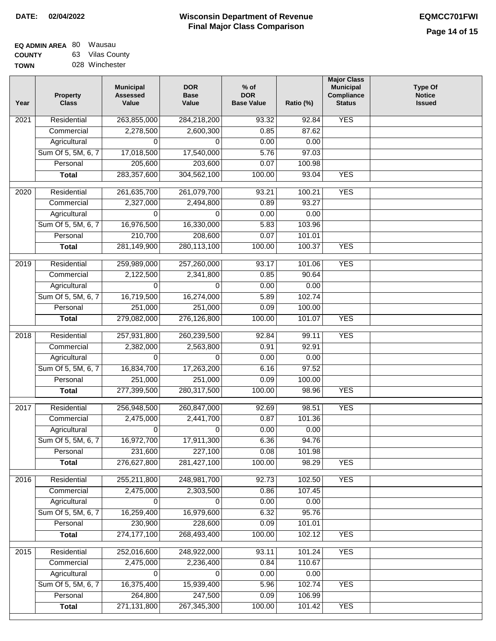| EQ ADMIN AREA 80 | Wausau          |
|------------------|-----------------|
| <b>COUNTY</b>    | 63 Vilas County |
| <b>TOWN</b>      | 028 Winchester  |

| Year              | <b>Property</b><br><b>Class</b> | <b>Municipal</b><br><b>Assessed</b><br>Value | <b>DOR</b><br><b>Base</b><br>Value | $%$ of<br><b>DOR</b><br><b>Base Value</b> | Ratio (%)       | <b>Major Class</b><br><b>Municipal</b><br>Compliance<br><b>Status</b> | <b>Type Of</b><br><b>Notice</b><br><b>Issued</b> |
|-------------------|---------------------------------|----------------------------------------------|------------------------------------|-------------------------------------------|-----------------|-----------------------------------------------------------------------|--------------------------------------------------|
| $\overline{202}1$ | Residential                     | 263,855,000                                  | 284,218,200                        | 93.32                                     | 92.84           | <b>YES</b>                                                            |                                                  |
|                   | Commercial                      | 2,278,500                                    | 2,600,300                          | 0.85                                      | 87.62           |                                                                       |                                                  |
|                   | Agricultural                    | 0                                            | 0                                  | 0.00                                      | 0.00            |                                                                       |                                                  |
|                   | Sum Of 5, 5M, 6, 7              | 17,018,500                                   | 17,540,000                         | 5.76                                      | 97.03           |                                                                       |                                                  |
|                   | Personal                        | 205,600                                      | 203,600                            | 0.07                                      | 100.98          |                                                                       |                                                  |
|                   | <b>Total</b>                    | 283,357,600                                  | 304,562,100                        | 100.00                                    | 93.04           | <b>YES</b>                                                            |                                                  |
| $\overline{2020}$ | Residential                     | 261,635,700                                  | 261,079,700                        | 93.21                                     | 100.21          | <b>YES</b>                                                            |                                                  |
|                   | Commercial                      | 2,327,000                                    | 2,494,800                          | 0.89                                      | 93.27           |                                                                       |                                                  |
|                   | Agricultural                    | 0                                            | 0                                  | 0.00                                      | 0.00            |                                                                       |                                                  |
|                   | Sum Of 5, 5M, 6, 7              | 16,976,500                                   | 16,330,000                         | 5.83                                      | 103.96          |                                                                       |                                                  |
|                   | Personal                        | 210,700                                      | 208,600                            | 0.07                                      | 101.01          |                                                                       |                                                  |
|                   | <b>Total</b>                    | 281,149,900                                  | 280,113,100                        | 100.00                                    | 100.37          | <b>YES</b>                                                            |                                                  |
| 2019              | Residential                     | 259,989,000                                  | 257,260,000                        | 93.17                                     | 101.06          | <b>YES</b>                                                            |                                                  |
|                   | Commercial                      | 2,122,500                                    | 2,341,800                          | 0.85                                      | 90.64           |                                                                       |                                                  |
|                   | Agricultural                    | 0                                            | 0                                  | 0.00                                      | 0.00            |                                                                       |                                                  |
|                   | Sum Of 5, 5M, 6, 7              | 16,719,500                                   | 16,274,000                         | 5.89                                      | 102.74          |                                                                       |                                                  |
|                   | Personal                        | 251,000                                      | 251,000                            | 0.09                                      | 100.00          |                                                                       |                                                  |
|                   | <b>Total</b>                    | 279,082,000                                  | 276,126,800                        | 100.00                                    | 101.07          | <b>YES</b>                                                            |                                                  |
|                   | Residential                     | 257,931,800                                  |                                    |                                           |                 | <b>YES</b>                                                            |                                                  |
| 2018              | Commercial                      | 2,382,000                                    | 260,239,500<br>2,563,800           | 92.84<br>0.91                             | 99.11<br>92.91  |                                                                       |                                                  |
|                   | Agricultural                    | 0                                            | 0                                  | 0.00                                      | 0.00            |                                                                       |                                                  |
|                   | Sum Of 5, 5M, 6, 7              | 16,834,700                                   | 17,263,200                         | 6.16                                      | 97.52           |                                                                       |                                                  |
|                   | Personal                        | 251,000                                      | 251,000                            | 0.09                                      | 100.00          |                                                                       |                                                  |
|                   | <b>Total</b>                    | 277,399,500                                  | 280,317,500                        | 100.00                                    | 98.96           | <b>YES</b>                                                            |                                                  |
|                   |                                 |                                              |                                    |                                           |                 |                                                                       |                                                  |
| 2017              | Residential                     | 256,948,500                                  | 260,847,000                        | 92.69                                     | 98.51           | <b>YES</b>                                                            |                                                  |
|                   | Commercial                      | 2,475,000                                    | 2,441,700                          | 0.87                                      | 101.36          |                                                                       |                                                  |
|                   | Agricultural                    | $\Omega$                                     | $\Omega$                           | 0.00                                      | 0.00            |                                                                       |                                                  |
|                   | Sum Of 5, 5M, 6, 7              | 16,972,700                                   | 17,911,300                         | 6.36                                      | 94.76           |                                                                       |                                                  |
|                   | Personal                        | 231,600<br>276,627,800                       | 227,100<br>281,427,100             | 0.08<br>100.00                            | 101.98<br>98.29 | <b>YES</b>                                                            |                                                  |
|                   | <b>Total</b>                    |                                              |                                    |                                           |                 |                                                                       |                                                  |
| 2016              | Residential                     | 255,211,800                                  | 248,981,700                        | 92.73                                     | 102.50          | <b>YES</b>                                                            |                                                  |
|                   | Commercial                      | 2,475,000                                    | 2,303,500                          | 0.86                                      | 107.45          |                                                                       |                                                  |
|                   | Agricultural                    | 0                                            | 0                                  | 0.00                                      | 0.00            |                                                                       |                                                  |
|                   | Sum Of 5, 5M, 6, 7              | 16,259,400                                   | 16,979,600                         | 6.32                                      | 95.76           |                                                                       |                                                  |
|                   | Personal                        | 230,900                                      | 228,600                            | 0.09                                      | 101.01          |                                                                       |                                                  |
|                   | <b>Total</b>                    | 274, 177, 100                                | 268,493,400                        | 100.00                                    | 102.12          | <b>YES</b>                                                            |                                                  |
| 2015              | Residential                     | 252,016,600                                  | 248,922,000                        | 93.11                                     | 101.24          | <b>YES</b>                                                            |                                                  |
|                   | Commercial                      | 2,475,000                                    | 2,236,400                          | 0.84                                      | 110.67          |                                                                       |                                                  |
|                   | Agricultural                    | 0                                            | 0                                  | 0.00                                      | 0.00            |                                                                       |                                                  |
|                   | Sum Of 5, 5M, 6, 7              | 16,375,400                                   | 15,939,400                         | 5.96                                      | 102.74          | <b>YES</b>                                                            |                                                  |
|                   | Personal                        | 264,800                                      | 247,500                            | 0.09                                      | 106.99          |                                                                       |                                                  |
|                   | <b>Total</b>                    | 271,131,800                                  | 267,345,300                        | 100.00                                    | 101.42          | <b>YES</b>                                                            |                                                  |
|                   |                                 |                                              |                                    |                                           |                 |                                                                       |                                                  |